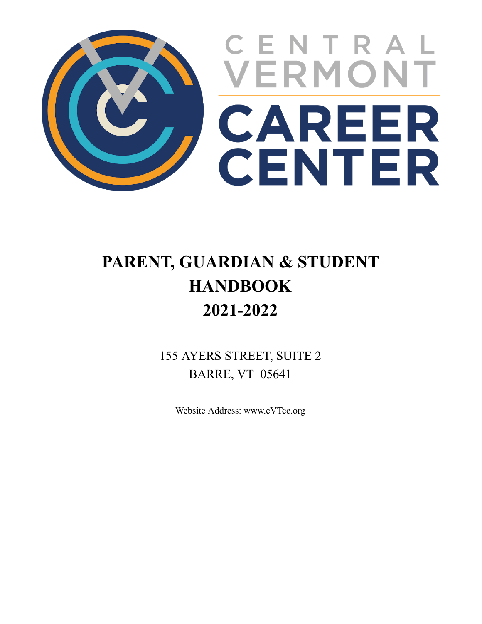

# **PARENT, GUARDIAN & STUDENT HANDBOOK 2021-2022**

155 AYERS STREET, SUITE 2 BARRE, VT 05641

Website Address: www.cVTcc.org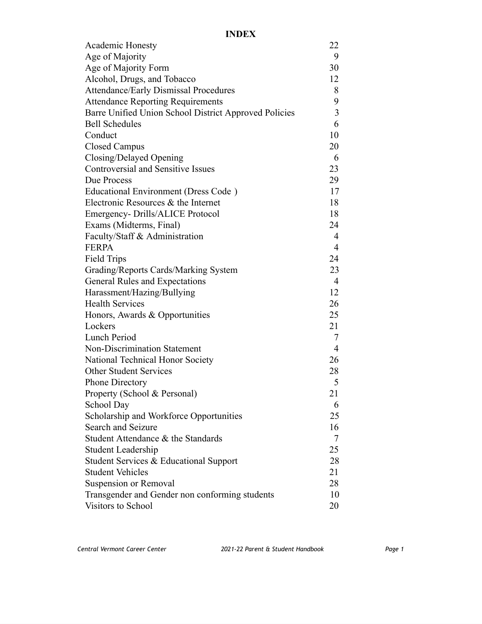| <b>Academic Honesty</b>                               | 22             |
|-------------------------------------------------------|----------------|
| Age of Majority                                       | 9              |
| Age of Majority Form                                  | 30             |
| Alcohol, Drugs, and Tobacco                           | 12             |
| <b>Attendance/Early Dismissal Procedures</b>          | 8              |
| <b>Attendance Reporting Requirements</b>              | 9              |
| Barre Unified Union School District Approved Policies | 3              |
| <b>Bell Schedules</b>                                 | 6              |
| Conduct                                               | 10             |
| <b>Closed Campus</b>                                  | 20             |
| Closing/Delayed Opening                               | 6              |
| <b>Controversial and Sensitive Issues</b>             | 23             |
| Due Process                                           | 29             |
| Educational Environment (Dress Code)                  | 17             |
| Electronic Resources & the Internet                   | 18             |
| Emergency-Drills/ALICE Protocol                       | 18             |
| Exams (Midterms, Final)                               | 24             |
| Faculty/Staff & Administration                        | 4              |
| <b>FERPA</b>                                          | $\overline{4}$ |
| Field Trips                                           | 24             |
| Grading/Reports Cards/Marking System                  | 23             |
| General Rules and Expectations                        | $\overline{4}$ |
| Harassment/Hazing/Bullying                            | 12             |
| <b>Health Services</b>                                | 26             |
| Honors, Awards & Opportunities                        | 25             |
| Lockers                                               | 21             |
| Lunch Period                                          | 7              |
| <b>Non-Discrimination Statement</b>                   | $\overline{4}$ |
| National Technical Honor Society                      | 26             |
| <b>Other Student Services</b>                         | 28             |
| <b>Phone Directory</b>                                | 5              |
| Property (School & Personal)                          | 21             |
| School Day                                            | 6              |
| Scholarship and Workforce Opportunities               | 25             |
| Search and Seizure                                    | 16             |
| Student Attendance & the Standards                    | 7              |
| Student Leadership                                    | 25             |
| Student Services & Educational Support                | 28             |
| <b>Student Vehicles</b>                               | 21             |
| Suspension or Removal                                 | 28             |
| Transgender and Gender non conforming students        | 10             |
| Visitors to School                                    | 20             |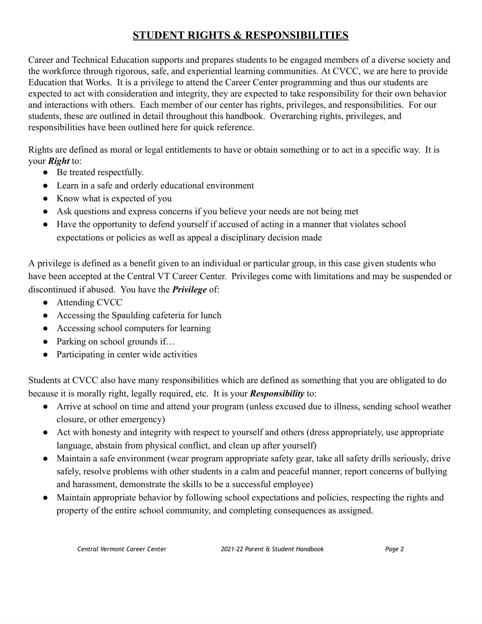### **STUDENT RIGHTS & RESPONSIBILITIES**

Career and Technical Education supports and prepares students to be engaged members of a diverse society and the workforce through rigorous, safe, and experiential learning communities. At CVCC, we are here to provide Education that Works. It is a privilege to attend the Career Center programming and thus our students are expected to act with consideration and integrity, they are expected to take responsibility for their own behavior and interactions with others. Each member of our center has rights, privileges, and responsibilities. For our students, these are outlined in detail throughout this handbook. Overarching rights, privileges, and responsibilities have been outlined here for quick reference.

Rights are defined as moral or legal entitlements to have or obtain something or to act in a specific way. It is your *Right* to:

- Be treated respectfully.
- Learn in a safe and orderly educational environment
- Know what is expected of you
- Ask questions and express concerns if you believe your needs are not being met
- Have the opportunity to defend yourself if accused of acting in a manner that violates school expectations or policies as well as appeal a disciplinary decision made

A privilege is defined as a benefit given to an individual or particular group, in this case given students who have been accepted at the Central VT Career Center. Privileges come with limitations and may be suspended or discontinued if abused. You have the *Privilege* of:

- Attending CVCC
- Accessing the Spaulding cafeteria for lunch
- Accessing school computers for learning
- Parking on school grounds if...
- Participating in center wide activities

Students at CVCC also have many responsibilities which are defined as something that you are obligated to do because it is morally right, legally required, etc. It is your *Responsibility* to:

- Arrive at school on time and attend your program (unless excused due to illness, sending school weather closure, or other emergency)
- Act with honesty and integrity with respect to yourself and others (dress appropriately, use appropriate language, abstain from physical conflict, and clean up after yourself)
- Maintain a safe environment (wear program appropriate safety gear, take all safety drills seriously, drive safely, resolve problems with other students in a calm and peaceful manner, report concerns of bullying and harassment, demonstrate the skills to be a successful employee)
- Maintain appropriate behavior by following school expectations and policies, respecting the rights and property of the entire school community, and completing consequences as assigned.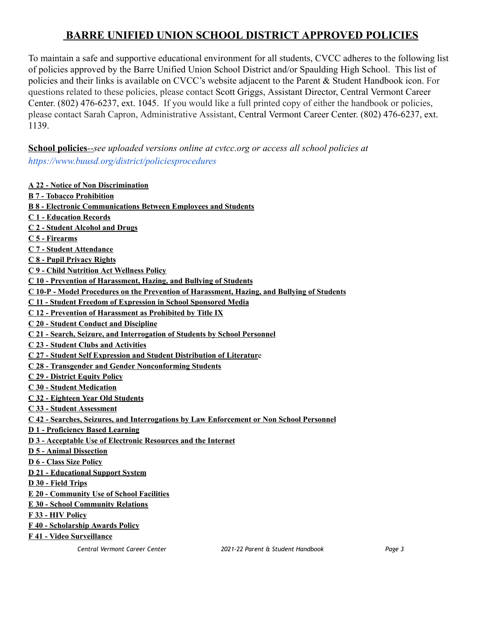### **BARRE UNIFIED UNION SCHOOL DISTRICT APPROVED POLICIES**

To maintain a safe and supportive educational environment for all students, CVCC adheres to the following list of policies approved by the Barre Unified Union School District and/or Spaulding High School. This list of policies and their links is available on CVCC's website adjacent to the Parent & Student Handbook icon. For questions related to these policies, please contact Scott Griggs, Assistant Director, Central Vermont Career Center. (802) 476-6237, ext. 1045. If you would like a full printed copy of either the handbook or policies, please contact Sarah Capron, Administrative Assistant, Central Vermont Career Center. (802) 476-6237, ext. 1139.

**School policies***--see uploaded versions online at cvtcc.org or access all school policies at <https://www.buusd.org/district/policiesprocedures>*

#### **A 22 - Notice of Non [Discrimination](https://resources.finalsite.net/images/v1561034914/bsuvtorg/ilz1tg1iqnzzndbqry0b/A22-NoticeofNonDiscrimination.pdf)**

- **B 7 - Tobacco [Prohibition](https://resources.finalsite.net/images/v1561035038/bsuvtorg/bn9qki1fglk0pd3tpwii/B7-TobaccoProhibition.pdf)**
- **B 8 - Electronic Communications Between Employees and Students**
- **C 1 - [Education](https://resources.finalsite.net/images/v1561035250/bsuvtorg/ctveau3haocnr224t6at/C1-EducationRecords.pdf) Records**
- **C 2 - [Student](https://resources.finalsite.net/images/v1561035250/bsuvtorg/mf9rce0xnlxjco0upw1u/C2-StudentAlcoholandDrugs.pdf) Alcohol and Drugs**
- **C 5 - [Firearms](https://resources.finalsite.net/images/v1561035251/bsuvtorg/xse7x7g5prboqskg3ftm/C5-Firearms.pdf)**
- **C 7 - Student [Attendance](https://resources.finalsite.net/images/v1561035251/bsuvtorg/mqilcd52xkavhyzqypn4/C7-StudentAttendance.pdf)**
- **C 8 - Pupil [Privacy](https://resources.finalsite.net/images/v1561035252/bsuvtorg/jqinwvcnwfibvabo8cyb/C8-PupilPrivacyRights.pdf) Rights**
- **C 9 - Child [Nutrition](https://resources.finalsite.net/images/v1561035252/bsuvtorg/qznskm6gt0o8kebyzgda/C9-ChildNutritionActWellnessPolicy.pdf) Act Wellness Policy**
- **C 10 - Prevention of [Harassment,](https://resources.finalsite.net/images/v1561035253/bsuvtorg/n8ee8pwxs57yspvz6uaf/C10-PreventionofHarrassementHazingandBullyingofStudents.pdf) Hazing, and Bullying of Students**
- **C 10-P - Model Procedures on the Prevention of [Harassment,](https://resources.finalsite.net/images/v1561035246/bsuvtorg/llyqurmti8oki2kfze68/C10-P-ModelProceduresonthePreventionofHarrassmentHazingandBullyingofStudents.pdf) Hazing, and Bullying of Students**
- **C 11 - Student Freedom of [Expression](https://resources.finalsite.net/images/v1561035246/bsuvtorg/nnbntlllofh0pucyxlay/C11-StudentFreedomofExpressioninSchoolSponsoredMedia.pdf) in School Sponsored Media**
- **C 12 - Prevention of Harassment as Prohibited by Title IX**
- **C 20 - Student Conduct and [Discipline](https://resources.finalsite.net/images/v1561035247/bsuvtorg/sxrzrn4st8kqjujkfxzv/C20-StudentConductandDiscipline.pdf)**
- **C 21 - Search, Seizure, and [Interrogation](https://resources.finalsite.net/images/v1561035246/bsuvtorg/qhuhb3psaomf5vsovqrk/C21-SearchSeizureandInterrogationiofStudentsbySchoolPersonnel.pdf) of Students by School Personnel**
- **C 23 - Student Clubs and [Activities](https://resources.finalsite.net/images/v1561035246/bsuvtorg/hgbu1xoqpxx0bnroscu5/C23-StudentClubsandActivities.pdf)**
- **C 27 - Student Self Expression and Student [Distribution](https://resources.finalsite.net/images/v1561035247/bsuvtorg/lk1vppmoxgvjlgqsyscd/C27-StudentSelfExpressionandStudentDistributionofLiterature.pdf) of Literatur**e
- **C 28 - Transgender and Gender Nonconforming Students**
- **C 29 - District Equity Policy**
- **C 30 - Student [Medication](https://resources.finalsite.net/images/v1561035247/bsuvtorg/lxmusria6ifawi5nx8zx/C30-StudentMedication.pdf)**
- **C 32 - [Eighteen](https://resources.finalsite.net/images/v1561035248/bsuvtorg/hg02gzxtzpvhhndrov7j/C32-EighteenYearOldStudents.pdf) Year Old Students**
- **C 33 - Student [Assessment](https://resources.finalsite.net/images/v1561035249/bsuvtorg/suicfhrt5q6iazrorfyg/C33-StudentAssessment.pdf)**
- **C 42 - Searches, Seizures, and [Interrogations](https://resources.finalsite.net/images/v1561035249/bsuvtorg/rujntkognhhghomjkqir/C42-SearchesSeizuresandInterrogationsbyLawEnforcementorNonSchoolPersonnel.pdf) by Law Enforcement or Non School Personne[l](https://www.bsuvt.org/district/policiesprocedures#fs-panel-5869)**
- **D 1 - [Proficiency](https://resources.finalsite.net/images/v1561035842/bsuvtorg/crhw0sllj9ypnz0ziwer/D1-ProficiencyBasedLearning.pdf) Based Learning**
- **D 3 - [Acceptable](https://resources.finalsite.net/images/v1561035842/bsuvtorg/tyjgdji8nlbbi7jhyfjh/D3-AcceptableUseofElectronicResourcesandtheInternet.pdf) Use of Electronic Resources and the Internet**
- **D 5 - Animal [Dissection](https://resources.finalsite.net/images/v1561035842/bsuvtorg/roc4rsny0ezz9nvylift/D5-AnimalDissection.pdf)**
- **D 6 - Class Size [Policy](https://resources.finalsite.net/images/v1561035842/bsuvtorg/fxnkygsea5ssv9thmblc/D6-ClassSizePolicy.pdf)**
- **D 21 - [Educational](https://resources.finalsite.net/images/v1561035842/bsuvtorg/jmapcmpcrgrpygocruzz/D21-EducationalSupportSystem.pdf) Support System**
- **D 30 - Field [Trips](https://resources.finalsite.net/images/v1561035842/bsuvtorg/xornz6c7j41fi0hxhtqp/D30-FieldTrips.pdf)**
- **E 20 - [Community](https://resources.finalsite.net/images/v1561035985/bsuvtorg/axwuvtoelbmztnjg9egw/E20-CommunityUseofSchoolFacilities.pdf) Use of School Facilities**
- **E 30 - School [Community](https://resources.finalsite.net/images/v1561035985/bsuvtorg/uet2huwaztqz55hrdfu5/E30-SchoolCommunityRelations.pdf) Relations**
- **F 33 - HIV [Policy](https://resources.finalsite.net/images/v1561036078/bsuvtorg/tbqpgeoshyeeha4bv8d6/F33-HIVPolicy.pdf)**
- **F 40 - [Scholarship](https://resources.finalsite.net/images/v1561036078/bsuvtorg/s3mslevgwrol8pborn5q/F40-ScholarshipAwardsPolicy.pdf) Awards Policy**
- **F 41 - Video [Surveillance](https://resources.finalsite.net/images/v1561036078/bsuvtorg/djgd3duq3ogukghycw2k/F41-VideoSurveillance.pdf)**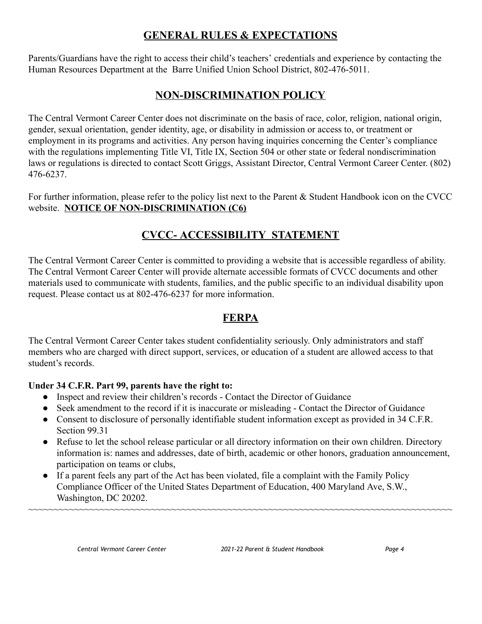### **GENERAL RULES & EXPECTATIONS**

Parents/Guardians have the right to access their child's teachers' credentials and experience by contacting the Human Resources Department at the Barre Unified Union School District, 802-476-5011.

### **NON-DISCRIMINATION POLICY**

The Central Vermont Career Center does not discriminate on the basis of race, color, religion, national origin, gender, sexual orientation, gender identity, age, or disability in admission or access to, or treatment or employment in its programs and activities. Any person having inquiries concerning the Center's compliance with the regulations implementing Title VI, Title IX, Section 504 or other state or federal nondiscrimination laws or regulations is directed to contact Scott Griggs, Assistant Director, Central Vermont Career Center. (802) 476-6237.

For further information, please refer to the policy list next to the Parent & Student Handbook icon on the CVCC website. **NOTICE OF NON-DISCRIMINATION (C6)**

### **CVCC- ACCESSIBILITY STATEMENT**

The Central Vermont Career Center is committed to providing a website that is accessible regardless of ability. The Central Vermont Career Center will provide alternate accessible formats of CVCC documents and other materials used to communicate with students, families, and the public specific to an individual disability upon request. Please contact us at 802-476-6237 for more information.

### **FERPA**

The Central Vermont Career Center takes student confidentiality seriously. Only administrators and staff members who are charged with direct support, services, or education of a student are allowed access to that student's records.

#### **Under 34 C.F.R. Part 99, parents have the right to:**

- Inspect and review their children's records Contact the Director of Guidance
- Seek amendment to the record if it is inaccurate or misleading Contact the Director of Guidance
- Consent to disclosure of personally identifiable student information except as provided in 34 C.F.R. Section 99.31
- Refuse to let the school release particular or all directory information on their own children. Directory information is: names and addresses, date of birth, academic or other honors, graduation announcement, participation on teams or clubs,

~~~~~~~~~~~~~~~~~~~~~~~~~~~~~~~~~~~~~~~~~~~~~~~~~~~~~~~~~~~~~~~~~~~~~~~~~~~~~~~~~~~

• If a parent feels any part of the Act has been violated, file a complaint with the Family Policy Compliance Officer of the United States Department of Education, 400 Maryland Ave, S.W., Washington, DC 20202.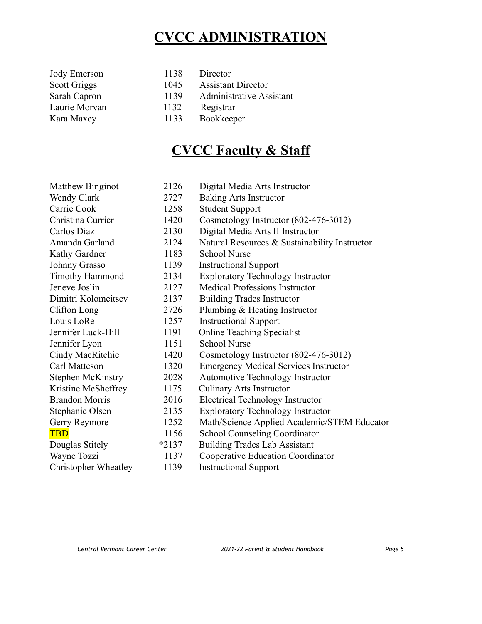## **CVCC ADMINISTRATION**

| Jody Emerson  | 1138 | Director                  |
|---------------|------|---------------------------|
| Scott Griggs  | 1045 | <b>Assistant Director</b> |
| Sarah Capron  | 1139 | Administrative Assistant  |
| Laurie Morvan | 1132 | Registrar                 |
| Kara Maxey    | 1133 | Bookkeeper                |

## **CVCC Faculty & Staff**

| Matthew Binginot         | 2126    | Digital Media Arts Instructor                 |
|--------------------------|---------|-----------------------------------------------|
| Wendy Clark              | 2727    | <b>Baking Arts Instructor</b>                 |
| Carrie Cook              | 1258    | <b>Student Support</b>                        |
| Christina Currier        | 1420    | Cosmetology Instructor (802-476-3012)         |
| Carlos Diaz              | 2130    | Digital Media Arts II Instructor              |
| Amanda Garland           | 2124    | Natural Resources & Sustainability Instructor |
| Kathy Gardner            | 1183    | <b>School Nurse</b>                           |
| Johnny Grasso            | 1139    | <b>Instructional Support</b>                  |
| <b>Timothy Hammond</b>   | 2134    | <b>Exploratory Technology Instructor</b>      |
| Jeneve Joslin            | 2127    | <b>Medical Professions Instructor</b>         |
| Dimitri Kolomeitsev      | 2137    | <b>Building Trades Instructor</b>             |
| Clifton Long             | 2726    | Plumbing & Heating Instructor                 |
| Louis LoRe               | 1257    | <b>Instructional Support</b>                  |
| Jennifer Luck-Hill       | 1191    | <b>Online Teaching Specialist</b>             |
| Jennifer Lyon            | 1151    | <b>School Nurse</b>                           |
| Cindy MacRitchie         | 1420    | Cosmetology Instructor (802-476-3012)         |
| Carl Matteson            | 1320    | <b>Emergency Medical Services Instructor</b>  |
| <b>Stephen McKinstry</b> | 2028    | <b>Automotive Technology Instructor</b>       |
| Kristine McSheffrey      | 1175    | <b>Culinary Arts Instructor</b>               |
| <b>Brandon Morris</b>    | 2016    | <b>Electrical Technology Instructor</b>       |
| Stephanie Olsen          | 2135    | <b>Exploratory Technology Instructor</b>      |
| Gerry Reymore            | 1252    | Math/Science Applied Academic/STEM Educator   |
| <b>TBD</b>               | 1156    | <b>School Counseling Coordinator</b>          |
| Douglas Stitely          | $*2137$ | <b>Building Trades Lab Assistant</b>          |
| Wayne Tozzi              | 1137    | Cooperative Education Coordinator             |
| Christopher Wheatley     | 1139    | <b>Instructional Support</b>                  |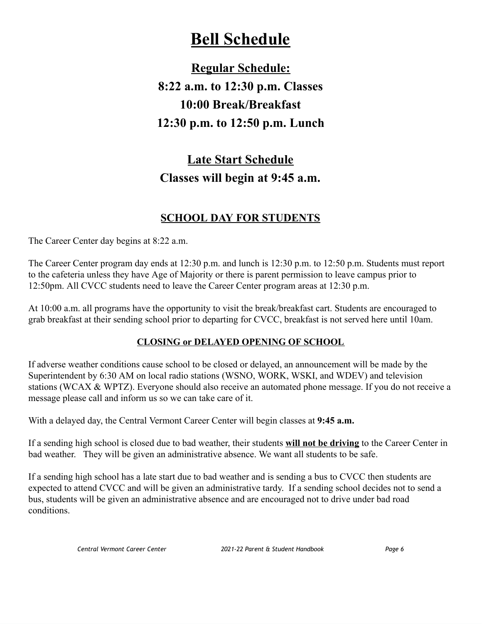## **Bell Schedule**

**Regular Schedule: 8:22 a.m. to 12:30 p.m. Classes 10:00 Break/Breakfast 12:30 p.m. to 12:50 p.m. Lunch**

## **Late Start Schedule Classes will begin at 9:45 a.m.**

### **SCHOOL DAY FOR STUDENTS**

The Career Center day begins at 8:22 a.m.

The Career Center program day ends at 12:30 p.m. and lunch is 12:30 p.m. to 12:50 p.m. Students must report to the cafeteria unless they have Age of Majority or there is parent permission to leave campus prior to 12:50pm. All CVCC students need to leave the Career Center program areas at 12:30 p.m.

At 10:00 a.m. all programs have the opportunity to visit the break/breakfast cart. Students are encouraged to grab breakfast at their sending school prior to departing for CVCC, breakfast is not served here until 10am.

#### **CLOSING or DELAYED OPENING OF SCHOOL**

If adverse weather conditions cause school to be closed or delayed, an announcement will be made by the Superintendent by 6:30 AM on local radio stations (WSNO, WORK, WSKI, and WDEV) and television stations (WCAX & WPTZ). Everyone should also receive an automated phone message. If you do not receive a message please call and inform us so we can take care of it.

With a delayed day, the Central Vermont Career Center will begin classes at **9:45 a.m.**

If a sending high school is closed due to bad weather, their students **will not be driving** to the Career Center in bad weather. They will be given an administrative absence. We want all students to be safe.

If a sending high school has a late start due to bad weather and is sending a bus to CVCC then students are expected to attend CVCC and will be given an administrative tardy. If a sending school decides not to send a bus, students will be given an administrative absence and are encouraged not to drive under bad road conditions.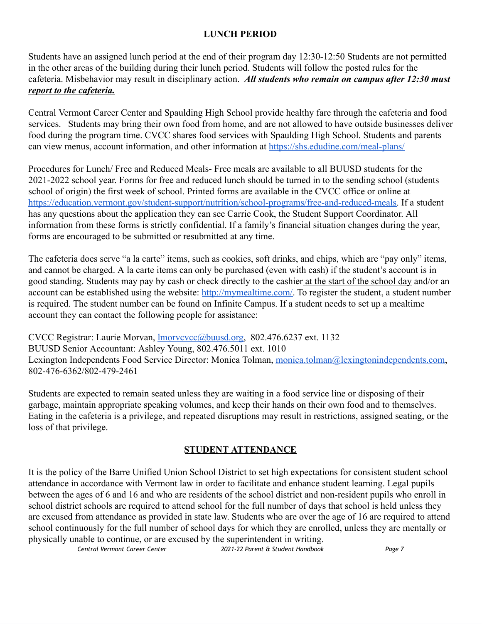#### **LUNCH PERIOD**

Students have an assigned lunch period at the end of their program day 12:30-12:50 Students are not permitted in the other areas of the building during their lunch period. Students will follow the posted rules for the cafeteria. Misbehavior may result in disciplinary action. *All students who remain on campus after 12:30 must report to the cafeteria.*

Central Vermont Career Center and Spaulding High School provide healthy fare through the cafeteria and food services. Students may bring their own food from home, and are not allowed to have outside businesses deliver food during the program time. CVCC shares food services with Spaulding High School. Students and parents can view menus, account information, and other information at <https://shs.edudine.com/meal-plans/>

Procedures for Lunch/ Free and Reduced Meals- Free meals are available to all BUUSD students for the 2021-2022 school year. Forms for free and reduced lunch should be turned in to the sending school (students school of origin) the first week of school. Printed forms are available in the CVCC office or online at [https://education.vermont.gov/student-support/nutrition/school-programs/free-and-reduced-meals.](https://education.vermont.gov/student-support/nutrition/school-programs/free-and-reduced-meals) If a student has any questions about the application they can see Carrie Cook, the Student Support Coordinator. All information from these forms is strictly confidential. If a family's financial situation changes during the year, forms are encouraged to be submitted or resubmitted at any time.

The cafeteria does serve "a la carte" items, such as cookies, soft drinks, and chips, which are "pay only" items, and cannot be charged. A la carte items can only be purchased (even with cash) if the student's account is in good standing. Students may pay by cash or check directly to the cashier at the start of the school day and/or an account can be established using the website: [http://mymealtime.com/.](http://mymealtime.com/) To register the student, a student number is required. The student number can be found on Infinite Campus. If a student needs to set up a mealtime account they can contact the following people for assistance:

CVCC Registrar: Laurie Morvan, *Imorvcvcc@buusd.org*, 802.476.6237 ext. 1132 BUUSD Senior Accountant: Ashley Young, 802.476.5011 ext. 1010 Lexington Independents Food Service Director: Monica Tolman, [monica.tolman@lexingtonindependents.com,](mailto:monica.tolman@lexingtonindependents.com) 802-476-6362/802-479-2461

Students are expected to remain seated unless they are waiting in a food service line or disposing of their garbage, maintain appropriate speaking volumes, and keep their hands on their own food and to themselves. Eating in the cafeteria is a privilege, and repeated disruptions may result in restrictions, assigned seating, or the loss of that privilege.

#### **STUDENT ATTENDANCE**

It is the policy of the Barre Unified Union School District to set high expectations for consistent student school attendance in accordance with Vermont law in order to facilitate and enhance student learning. Legal pupils between the ages of 6 and 16 and who are residents of the school district and non-resident pupils who enroll in school district schools are required to attend school for the full number of days that school is held unless they are excused from attendance as provided in state law. Students who are over the age of 16 are required to attend school continuously for the full number of school days for which they are enrolled, unless they are mentally or physically unable to continue, or are excused by the superintendent in writing.

```
Central Vermont Career Center 2021-22 Parent & Student Handbook Page 7
```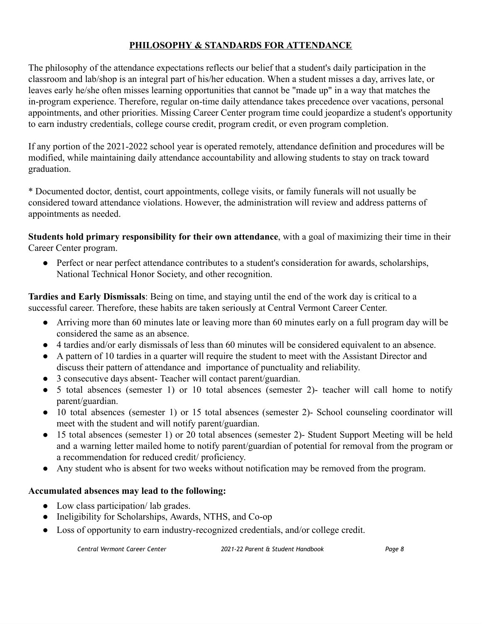#### **PHILOSOPHY & STANDARDS FOR ATTENDANCE**

The philosophy of the attendance expectations reflects our belief that a student's daily participation in the classroom and lab/shop is an integral part of his/her education. When a student misses a day, arrives late, or leaves early he/she often misses learning opportunities that cannot be "made up" in a way that matches the in-program experience. Therefore, regular on-time daily attendance takes precedence over vacations, personal appointments, and other priorities. Missing Career Center program time could jeopardize a student's opportunity to earn industry credentials, college course credit, program credit, or even program completion.

If any portion of the 2021-2022 school year is operated remotely, attendance definition and procedures will be modified, while maintaining daily attendance accountability and allowing students to stay on track toward graduation.

\* Documented doctor, dentist, court appointments, college visits, or family funerals will not usually be considered toward attendance violations. However, the administration will review and address patterns of appointments as needed.

**Students hold primary responsibility for their own attendance**, with a goal of maximizing their time in their Career Center program.

● Perfect or near perfect attendance contributes to a student's consideration for awards, scholarships, National Technical Honor Society, and other recognition.

**Tardies and Early Dismissals**: Being on time, and staying until the end of the work day is critical to a successful career. Therefore, these habits are taken seriously at Central Vermont Career Center.

- Arriving more than 60 minutes late or leaving more than 60 minutes early on a full program day will be considered the same as an absence.
- 4 tardies and/or early dismissals of less than 60 minutes will be considered equivalent to an absence.
- A pattern of 10 tardies in a quarter will require the student to meet with the Assistant Director and discuss their pattern of attendance and importance of punctuality and reliability.
- 3 consecutive days absent- Teacher will contact parent/guardian.
- 5 total absences (semester 1) or 10 total absences (semester 2)- teacher will call home to notify parent/guardian.
- 10 total absences (semester 1) or 15 total absences (semester 2)- School counseling coordinator will meet with the student and will notify parent/guardian.
- 15 total absences (semester 1) or 20 total absences (semester 2)- Student Support Meeting will be held and a warning letter mailed home to notify parent/guardian of potential for removal from the program or a recommendation for reduced credit/ proficiency.
- Any student who is absent for two weeks without notification may be removed from the program.

#### **Accumulated absences may lead to the following:**

- Low class participation/ lab grades.
- Ineligibility for Scholarships, Awards, NTHS, and Co-op
- Loss of opportunity to earn industry-recognized credentials, and/or college credit.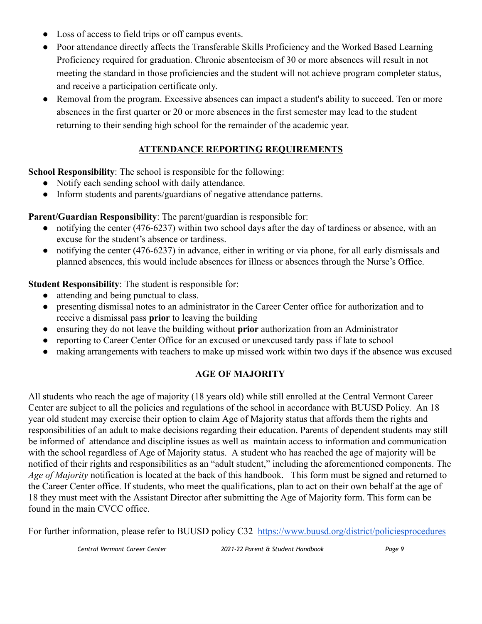- Loss of access to field trips or off campus events.
- Poor attendance directly affects the Transferable Skills Proficiency and the Worked Based Learning Proficiency required for graduation. Chronic absenteeism of 30 or more absences will result in not meeting the standard in those proficiencies and the student will not achieve program completer status, and receive a participation certificate only.
- Removal from the program. Excessive absences can impact a student's ability to succeed. Ten or more absences in the first quarter or 20 or more absences in the first semester may lead to the student returning to their sending high school for the remainder of the academic year.

### **ATTENDANCE REPORTING REQUIREMENTS**

**School Responsibility**: The school is responsible for the following:

- Notify each sending school with daily attendance.
- Inform students and parents/guardians of negative attendance patterns.

**Parent/Guardian Responsibility**: The parent/guardian is responsible for:

- notifying the center (476-6237) within two school days after the day of tardiness or absence, with an excuse for the student's absence or tardiness.
- notifying the center (476-6237) in advance, either in writing or via phone, for all early dismissals and planned absences, this would include absences for illness or absences through the Nurse's Office.

**Student Responsibility**: The student is responsible for:

- attending and being punctual to class.
- presenting dismissal notes to an administrator in the Career Center office for authorization and to receive a dismissal pass **prior** to leaving the building
- ensuring they do not leave the building without **prior** authorization from an Administrator
- reporting to Career Center Office for an excused or unexcused tardy pass if late to school
- making arrangements with teachers to make up missed work within two days if the absence was excused

#### **AGE OF MAJORITY**

All students who reach the age of majority (18 years old) while still enrolled at the Central Vermont Career Center are subject to all the policies and regulations of the school in accordance with BUUSD Policy. An 18 year old student may exercise their option to claim Age of Majority status that affords them the rights and responsibilities of an adult to make decisions regarding their education. Parents of dependent students may still be informed of attendance and discipline issues as well as maintain access to information and communication with the school regardless of Age of Majority status. A student who has reached the age of majority will be notified of their rights and responsibilities as an "adult student," including the aforementioned components. The *Age of Majority* notification is located at the back of this handbook. This form must be signed and returned to the Career Center office. If students, who meet the qualifications, plan to act on their own behalf at the age of 18 they must meet with the Assistant Director after submitting the Age of Majority form. This form can be found in the main CVCC office.

For further information, please refer to BUUSD policy C32 <https://www.buusd.org/district/policiesprocedures>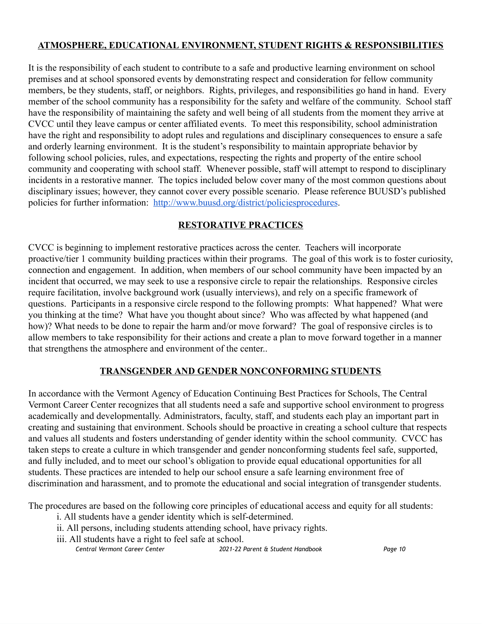#### **ATMOSPHERE, EDUCATIONAL ENVIRONMENT, STUDENT RIGHTS & RESPONSIBILITIES**

It is the responsibility of each student to contribute to a safe and productive learning environment on school premises and at school sponsored events by demonstrating respect and consideration for fellow community members, be they students, staff, or neighbors. Rights, privileges, and responsibilities go hand in hand. Every member of the school community has a responsibility for the safety and welfare of the community. School staff have the responsibility of maintaining the safety and well being of all students from the moment they arrive at CVCC until they leave campus or center affiliated events. To meet this responsibility, school administration have the right and responsibility to adopt rules and regulations and disciplinary consequences to ensure a safe and orderly learning environment. It is the student's responsibility to maintain appropriate behavior by following school policies, rules, and expectations, respecting the rights and property of the entire school community and cooperating with school staff. Whenever possible, staff will attempt to respond to disciplinary incidents in a restorative manner. The topics included below cover many of the most common questions about disciplinary issues; however, they cannot cover every possible scenario. Please reference BUUSD's published policies for further information: <http://www.buusd.org/district/policiesprocedures>.

#### **RESTORATIVE PRACTICES**

CVCC is beginning to implement restorative practices across the center. Teachers will incorporate proactive/tier 1 community building practices within their programs. The goal of this work is to foster curiosity, connection and engagement. In addition, when members of our school community have been impacted by an incident that occurred, we may seek to use a responsive circle to repair the relationships. Responsive circles require facilitation, involve background work (usually interviews), and rely on a specific framework of questions. Participants in a responsive circle respond to the following prompts: What happened? What were you thinking at the time? What have you thought about since? Who was affected by what happened (and how)? What needs to be done to repair the harm and/or move forward? The goal of responsive circles is to allow members to take responsibility for their actions and create a plan to move forward together in a manner that strengthens the atmosphere and environment of the center..

#### **TRANSGENDER AND GENDER NONCONFORMING STUDENTS**

In accordance with the Vermont Agency of Education Continuing Best Practices for Schools, The Central Vermont Career Center recognizes that all students need a safe and supportive school environment to progress academically and developmentally. Administrators, faculty, staff, and students each play an important part in creating and sustaining that environment. Schools should be proactive in creating a school culture that respects and values all students and fosters understanding of gender identity within the school community. CVCC has taken steps to create a culture in which transgender and gender nonconforming students feel safe, supported, and fully included, and to meet our school's obligation to provide equal educational opportunities for all students. These practices are intended to help our school ensure a safe learning environment free of discrimination and harassment, and to promote the educational and social integration of transgender students.

The procedures are based on the following core principles of educational access and equity for all students:

- i. All students have a gender identity which is self-determined.
- ii. All persons, including students attending school, have privacy rights.
- iii. All students have a right to feel safe at school.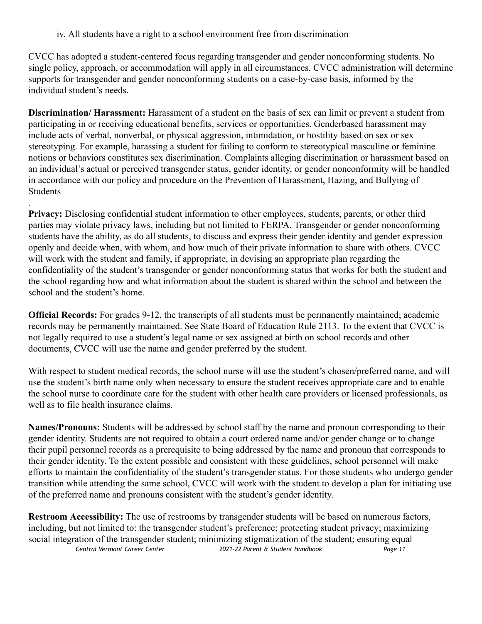iv. All students have a right to a school environment free from discrimination

.

CVCC has adopted a student-centered focus regarding transgender and gender nonconforming students. No single policy, approach, or accommodation will apply in all circumstances. CVCC administration will determine supports for transgender and gender nonconforming students on a case-by-case basis, informed by the individual student's needs.

**Discrimination/ Harassment:** Harassment of a student on the basis of sex can limit or prevent a student from participating in or receiving educational benefits, services or opportunities. Genderbased harassment may include acts of verbal, nonverbal, or physical aggression, intimidation, or hostility based on sex or sex stereotyping. For example, harassing a student for failing to conform to stereotypical masculine or feminine notions or behaviors constitutes sex discrimination. Complaints alleging discrimination or harassment based on an individual's actual or perceived transgender status, gender identity, or gender nonconformity will be handled in accordance with our policy and procedure on the Prevention of Harassment, Hazing, and Bullying of Students

**Privacy:** Disclosing confidential student information to other employees, students, parents, or other third parties may violate privacy laws, including but not limited to FERPA. Transgender or gender nonconforming students have the ability, as do all students, to discuss and express their gender identity and gender expression openly and decide when, with whom, and how much of their private information to share with others. CVCC will work with the student and family, if appropriate, in devising an appropriate plan regarding the confidentiality of the student's transgender or gender nonconforming status that works for both the student and the school regarding how and what information about the student is shared within the school and between the school and the student's home.

**Official Records:** For grades 9-12, the transcripts of all students must be permanently maintained; academic records may be permanently maintained. See State Board of Education Rule 2113. To the extent that CVCC is not legally required to use a student's legal name or sex assigned at birth on school records and other documents, CVCC will use the name and gender preferred by the student.

With respect to student medical records, the school nurse will use the student's chosen/preferred name, and will use the student's birth name only when necessary to ensure the student receives appropriate care and to enable the school nurse to coordinate care for the student with other health care providers or licensed professionals, as well as to file health insurance claims.

**Names/Pronouns:** Students will be addressed by school staff by the name and pronoun corresponding to their gender identity. Students are not required to obtain a court ordered name and/or gender change or to change their pupil personnel records as a prerequisite to being addressed by the name and pronoun that corresponds to their gender identity. To the extent possible and consistent with these guidelines, school personnel will make efforts to maintain the confidentiality of the student's transgender status. For those students who undergo gender transition while attending the same school, CVCC will work with the student to develop a plan for initiating use of the preferred name and pronouns consistent with the student's gender identity.

**Restroom Accessibility:** The use of restrooms by transgender students will be based on numerous factors, including, but not limited to: the transgender student's preference; protecting student privacy; maximizing social integration of the transgender student; minimizing stigmatization of the student; ensuring equal<br>Central Vermont Career Center 2021-22 Parent & Student Handbook *Central Vermont Career Center 2021-22 Parent & Student Handbook Page 11*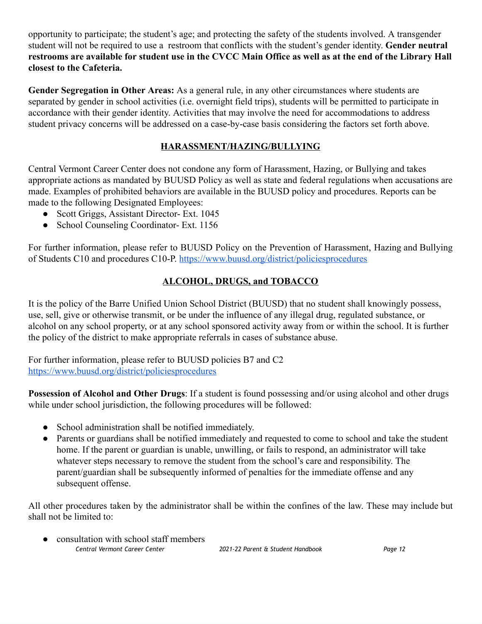opportunity to participate; the student's age; and protecting the safety of the students involved. A transgender student will not be required to use a restroom that conflicts with the student's gender identity. **Gender neutral** restrooms are available for student use in the CVCC Main Office as well as at the end of the Library Hall **closest to the Cafeteria.**

**Gender Segregation in Other Areas:** As a general rule, in any other circumstances where students are separated by gender in school activities (i.e. overnight field trips), students will be permitted to participate in accordance with their gender identity. Activities that may involve the need for accommodations to address student privacy concerns will be addressed on a case-by-case basis considering the factors set forth above.

#### **HARASSMENT/HAZING/BULLYING**

Central Vermont Career Center does not condone any form of Harassment, Hazing, or Bullying and takes appropriate actions as mandated by BUUSD Policy as well as state and federal regulations when accusations are made. Examples of prohibited behaviors are available in the BUUSD policy and procedures. Reports can be made to the following Designated Employees:

- Scott Griggs, Assistant Director- Ext. 1045
- School Counseling Coordinator- Ext. 1156

For further information, please refer to BUUSD Policy on the Prevention of Harassment, Hazing and Bullying of Students C10 and procedures C10-P. <https://www.buusd.org/district/policiesprocedures>

#### **ALCOHOL, DRUGS, and TOBACCO**

It is the policy of the Barre Unified Union School District (BUUSD) that no student shall knowingly possess, use, sell, give or otherwise transmit, or be under the influence of any illegal drug, regulated substance, or alcohol on any school property, or at any school sponsored activity away from or within the school. It is further the policy of the district to make appropriate referrals in cases of substance abuse.

For further information, please refer to BUUSD policies B7 and C2 <https://www.buusd.org/district/policiesprocedures>

**Possession of Alcohol and Other Drugs**: If a student is found possessing and/or using alcohol and other drugs while under school jurisdiction, the following procedures will be followed:

- School administration shall be notified immediately.
- Parents or guardians shall be notified immediately and requested to come to school and take the student home. If the parent or guardian is unable, unwilling, or fails to respond, an administrator will take whatever steps necessary to remove the student from the school's care and responsibility. The parent/guardian shall be subsequently informed of penalties for the immediate offense and any subsequent offense.

All other procedures taken by the administrator shall be within the confines of the law. These may include but shall not be limited to:

• consultation with school staff members *Central Vermont Career Center 2021-22 Parent & Student Handbook Page 12*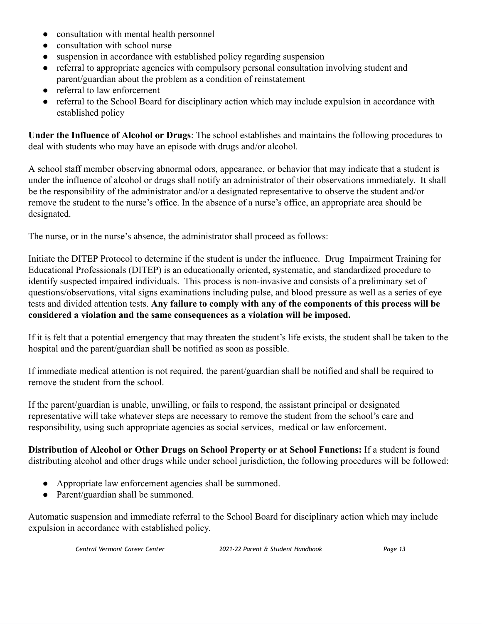- consultation with mental health personnel
- consultation with school nurse
- suspension in accordance with established policy regarding suspension
- referral to appropriate agencies with compulsory personal consultation involving student and parent/guardian about the problem as a condition of reinstatement
- referral to law enforcement
- referral to the School Board for disciplinary action which may include expulsion in accordance with established policy

**Under the Influence of Alcohol or Drugs**: The school establishes and maintains the following procedures to deal with students who may have an episode with drugs and/or alcohol.

A school staff member observing abnormal odors, appearance, or behavior that may indicate that a student is under the influence of alcohol or drugs shall notify an administrator of their observations immediately. It shall be the responsibility of the administrator and/or a designated representative to observe the student and/or remove the student to the nurse's office. In the absence of a nurse's office, an appropriate area should be designated.

The nurse, or in the nurse's absence, the administrator shall proceed as follows:

Initiate the DITEP Protocol to determine if the student is under the influence. Drug Impairment Training for Educational Professionals (DITEP) is an educationally oriented, systematic, and standardized procedure to identify suspected impaired individuals. This process is non-invasive and consists of a preliminary set of questions/observations, vital signs examinations including pulse, and blood pressure as well as a series of eye tests and divided attention tests. **Any failure to comply with any of the components of this process will be considered a violation and the same consequences as a violation will be imposed.**

If it is felt that a potential emergency that may threaten the student's life exists, the student shall be taken to the hospital and the parent/guardian shall be notified as soon as possible.

If immediate medical attention is not required, the parent/guardian shall be notified and shall be required to remove the student from the school.

If the parent/guardian is unable, unwilling, or fails to respond, the assistant principal or designated representative will take whatever steps are necessary to remove the student from the school's care and responsibility, using such appropriate agencies as social services, medical or law enforcement.

**Distribution of Alcohol or Other Drugs on School Property or at School Functions:** If a student is found distributing alcohol and other drugs while under school jurisdiction, the following procedures will be followed:

- Appropriate law enforcement agencies shall be summoned.
- Parent/guardian shall be summoned.

Automatic suspension and immediate referral to the School Board for disciplinary action which may include expulsion in accordance with established policy.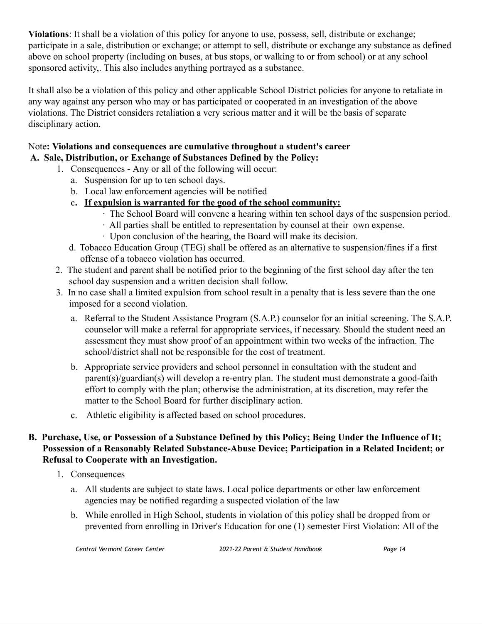**Violations**: It shall be a violation of this policy for anyone to use, possess, sell, distribute or exchange; participate in a sale, distribution or exchange; or attempt to sell, distribute or exchange any substance as defined above on school property (including on buses, at bus stops, or walking to or from school) or at any school sponsored activity,. This also includes anything portrayed as a substance.

It shall also be a violation of this policy and other applicable School District policies for anyone to retaliate in any way against any person who may or has participated or cooperated in an investigation of the above violations. The District considers retaliation a very serious matter and it will be the basis of separate disciplinary action.

#### Note**: Violations and consequences are cumulative throughout a student's career A. Sale, Distribution, or Exchange of Substances Defined by the Policy:**

- 1. Consequences Any or all of the following will occur:
	- a. Suspension for up to ten school days.
	- b. Local law enforcement agencies will be notified
	- c**. If expulsion is warranted for the good of the school community:**
		- ∙ The School Board will convene a hearing within ten school days of the suspension period.
		- ∙ All parties shall be entitled to representation by counsel at their own expense.
		- ∙ Upon conclusion of the hearing, the Board will make its decision.
	- d. Tobacco Education Group (TEG) shall be offered as an alternative to suspension/fines if a first offense of a tobacco violation has occurred.
- 2. The student and parent shall be notified prior to the beginning of the first school day after the ten school day suspension and a written decision shall follow.
- 3. In no case shall a limited expulsion from school result in a penalty that is less severe than the one imposed for a second violation.
	- a. Referral to the Student Assistance Program (S.A.P.) counselor for an initial screening. The S.A.P. counselor will make a referral for appropriate services, if necessary. Should the student need an assessment they must show proof of an appointment within two weeks of the infraction. The school/district shall not be responsible for the cost of treatment.
	- b. Appropriate service providers and school personnel in consultation with the student and parent(s)/guardian(s) will develop a re-entry plan. The student must demonstrate a good-faith effort to comply with the plan; otherwise the administration, at its discretion, may refer the matter to the School Board for further disciplinary action.
	- c. Athletic eligibility is affected based on school procedures.

#### **B. Purchase, Use, or Possession of a Substance Defined by this Policy; Being Under the Influence of It; Possession of a Reasonably Related Substance-Abuse Device; Participation in a Related Incident; or Refusal to Cooperate with an Investigation.**

- 1. Consequences
	- a. All students are subject to state laws. Local police departments or other law enforcement agencies may be notified regarding a suspected violation of the law
	- b. While enrolled in High School, students in violation of this policy shall be dropped from or prevented from enrolling in Driver's Education for one (1) semester First Violation: All of the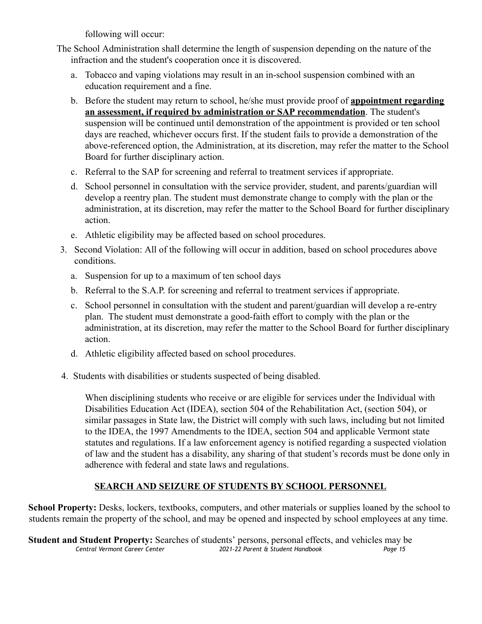following will occur:

- The School Administration shall determine the length of suspension depending on the nature of the infraction and the student's cooperation once it is discovered.
	- a. Tobacco and vaping violations may result in an in-school suspension combined with an education requirement and a fine.
	- b. Before the student may return to school, he/she must provide proof of **appointment regarding an assessment, if required by administration or SAP recommendation**. The student's suspension will be continued until demonstration of the appointment is provided or ten school days are reached, whichever occurs first. If the student fails to provide a demonstration of the above-referenced option, the Administration, at its discretion, may refer the matter to the School Board for further disciplinary action.
	- c. Referral to the SAP for screening and referral to treatment services if appropriate.
	- d. School personnel in consultation with the service provider, student, and parents/guardian will develop a reentry plan. The student must demonstrate change to comply with the plan or the administration, at its discretion, may refer the matter to the School Board for further disciplinary action.
	- e. Athletic eligibility may be affected based on school procedures.
- 3. Second Violation: All of the following will occur in addition, based on school procedures above conditions.
	- a. Suspension for up to a maximum of ten school days
	- b. Referral to the S.A.P. for screening and referral to treatment services if appropriate.
	- c. School personnel in consultation with the student and parent/guardian will develop a re-entry plan. The student must demonstrate a good-faith effort to comply with the plan or the administration, at its discretion, may refer the matter to the School Board for further disciplinary action.
	- d. Athletic eligibility affected based on school procedures.
- 4. Students with disabilities or students suspected of being disabled.

When disciplining students who receive or are eligible for services under the Individual with Disabilities Education Act (IDEA), section 504 of the Rehabilitation Act, (section 504), or similar passages in State law, the District will comply with such laws, including but not limited to the IDEA, the 1997 Amendments to the IDEA, section 504 and applicable Vermont state statutes and regulations. If a law enforcement agency is notified regarding a suspected violation of law and the student has a disability, any sharing of that student's records must be done only in adherence with federal and state laws and regulations.

#### **SEARCH AND SEIZURE OF STUDENTS BY SCHOOL PERSONNEL**

**School Property:** Desks, lockers, textbooks, computers, and other materials or supplies loaned by the school to students remain the property of the school, and may be opened and inspected by school employees at any time.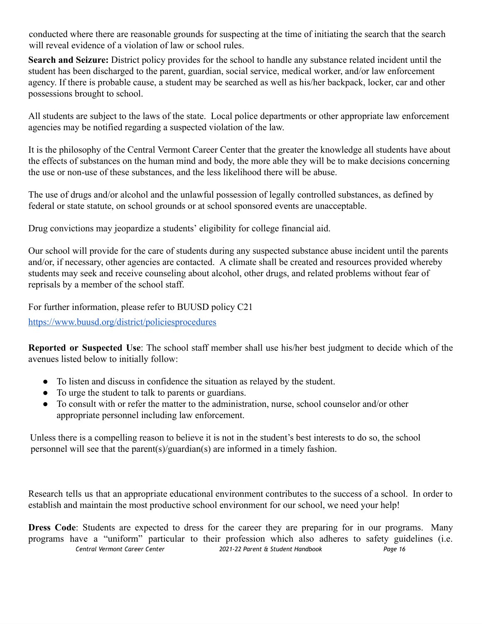conducted where there are reasonable grounds for suspecting at the time of initiating the search that the search will reveal evidence of a violation of law or school rules.

**Search and Seizure:** District policy provides for the school to handle any substance related incident until the student has been discharged to the parent, guardian, social service, medical worker, and/or law enforcement agency. If there is probable cause, a student may be searched as well as his/her backpack, locker, car and other possessions brought to school.

All students are subject to the laws of the state. Local police departments or other appropriate law enforcement agencies may be notified regarding a suspected violation of the law.

It is the philosophy of the Central Vermont Career Center that the greater the knowledge all students have about the effects of substances on the human mind and body, the more able they will be to make decisions concerning the use or non-use of these substances, and the less likelihood there will be abuse.

The use of drugs and/or alcohol and the unlawful possession of legally controlled substances, as defined by federal or state statute, on school grounds or at school sponsored events are unacceptable.

Drug convictions may jeopardize a students' eligibility for college financial aid.

Our school will provide for the care of students during any suspected substance abuse incident until the parents and/or, if necessary, other agencies are contacted. A climate shall be created and resources provided whereby students may seek and receive counseling about alcohol, other drugs, and related problems without fear of reprisals by a member of the school staff.

For further information, please refer to BUUSD policy C21

<https://www.buusd.org/district/policiesprocedures>

**Reported or Suspected Use**: The school staff member shall use his/her best judgment to decide which of the avenues listed below to initially follow:

- To listen and discuss in confidence the situation as relayed by the student.
- To urge the student to talk to parents or guardians.
- To consult with or refer the matter to the administration, nurse, school counselor and/or other appropriate personnel including law enforcement.

Unless there is a compelling reason to believe it is not in the student's best interests to do so, the school personnel will see that the parent(s)/guardian(s) are informed in a timely fashion.

Research tells us that an appropriate educational environment contributes to the success of a school. In order to establish and maintain the most productive school environment for our school, we need your help!

**Dress Code**: Students are expected to dress for the career they are preparing for in our programs. Many programs have a "uniform" particular to their profession which also adheres to safety guidelines (i.e. *Central Vermont Career Center 2021-22 Parent & Student Handbook Page 16*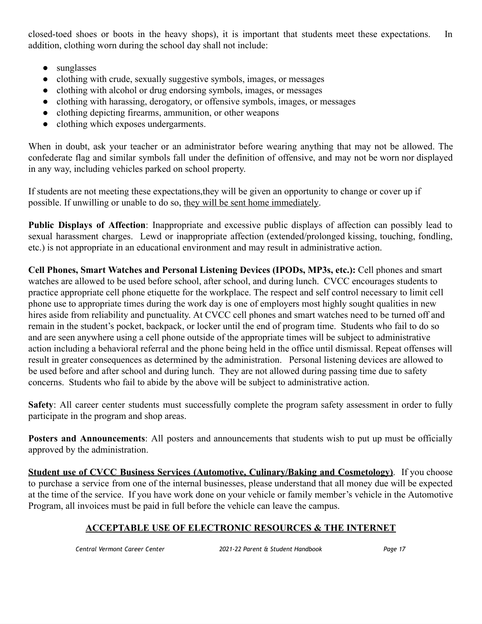closed-toed shoes or boots in the heavy shops), it is important that students meet these expectations. In addition, clothing worn during the school day shall not include:

- sunglasses
- clothing with crude, sexually suggestive symbols, images, or messages
- clothing with alcohol or drug endorsing symbols, images, or messages
- clothing with harassing, derogatory, or offensive symbols, images, or messages
- clothing depicting firearms, ammunition, or other weapons
- clothing which exposes undergarments.

When in doubt, ask your teacher or an administrator before wearing anything that may not be allowed. The confederate flag and similar symbols fall under the definition of offensive, and may not be worn nor displayed in any way, including vehicles parked on school property.

If students are not meeting these expectations,they will be given an opportunity to change or cover up if possible. If unwilling or unable to do so, they will be sent home immediately.

**Public Displays of Affection**: Inappropriate and excessive public displays of affection can possibly lead to sexual harassment charges. Lewd or inappropriate affection (extended/prolonged kissing, touching, fondling, etc.) is not appropriate in an educational environment and may result in administrative action.

**Cell Phones, Smart Watches and Personal Listening Devices (IPODs, MP3s, etc.):** Cell phones and smart watches are allowed to be used before school, after school, and during lunch. CVCC encourages students to practice appropriate cell phone etiquette for the workplace. The respect and self control necessary to limit cell phone use to appropriate times during the work day is one of employers most highly sought qualities in new hires aside from reliability and punctuality. At CVCC cell phones and smart watches need to be turned off and remain in the student's pocket, backpack, or locker until the end of program time. Students who fail to do so and are seen anywhere using a cell phone outside of the appropriate times will be subject to administrative action including a behavioral referral and the phone being held in the office until dismissal. Repeat offenses will result in greater consequences as determined by the administration. Personal listening devices are allowed to be used before and after school and during lunch. They are not allowed during passing time due to safety concerns. Students who fail to abide by the above will be subject to administrative action.

**Safety**: All career center students must successfully complete the program safety assessment in order to fully participate in the program and shop areas.

**Posters and Announcements**: All posters and announcements that students wish to put up must be officially approved by the administration.

**Student use of CVCC Business Services (Automotive, Culinary/Baking and Cosmetology)**. If you choose to purchase a service from one of the internal businesses, please understand that all money due will be expected at the time of the service. If you have work done on your vehicle or family member's vehicle in the Automotive Program, all invoices must be paid in full before the vehicle can leave the campus.

#### **ACCEPTABLE USE OF ELECTRONIC RESOURCES & THE INTERNET**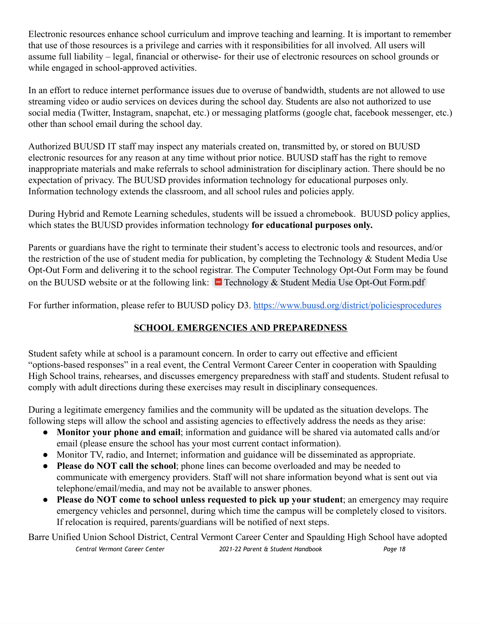Electronic resources enhance school curriculum and improve teaching and learning. It is important to remember that use of those resources is a privilege and carries with it responsibilities for all involved. All users will assume full liability – legal, financial or otherwise- for their use of electronic resources on school grounds or while engaged in school-approved activities.

In an effort to reduce internet performance issues due to overuse of bandwidth, students are not allowed to use streaming video or audio services on devices during the school day. Students are also not authorized to use social media (Twitter, Instagram, snapchat, etc.) or messaging platforms (google chat, facebook messenger, etc.) other than school email during the school day.

Authorized BUUSD IT staff may inspect any materials created on, transmitted by, or stored on BUUSD electronic resources for any reason at any time without prior notice. BUUSD staff has the right to remove inappropriate materials and make referrals to school administration for disciplinary action. There should be no expectation of privacy. The BUUSD provides information technology for educational purposes only. Information technology extends the classroom, and all school rules and policies apply.

During Hybrid and Remote Learning schedules, students will be issued a chromebook. BUUSD policy applies, which states the BUUSD provides information technology **for educational purposes only.**

Parents or guardians have the right to terminate their student's access to electronic tools and resources, and/or the restriction of the use of student media for publication, by completing the Technology & Student Media Use Opt-Out Form and delivering it to the school registrar. The Computer Technology Opt-Out Form may be found on the BUUSD website or at the following link: Technology & Student Media Use Opt-Out Form.pdf

For further information, please refer to BUUSD policy D3. <https://www.buusd.org/district/policiesprocedures>

#### **SCHOOL EMERGENCIES AND PREPAREDNESS**

Student safety while at school is a paramount concern. In order to carry out effective and efficient "options-based responses" in a real event, the Central Vermont Career Center in cooperation with Spaulding High School trains, rehearses, and discusses emergency preparedness with staff and students. Student refusal to comply with adult directions during these exercises may result in disciplinary consequences.

During a legitimate emergency families and the community will be updated as the situation develops. The following steps will allow the school and assisting agencies to effectively address the needs as they arise:

- **Monitor your phone and email**; information and guidance will be shared via automated calls and/or email (please ensure the school has your most current contact information).
- Monitor TV, radio, and Internet; information and guidance will be disseminated as appropriate.
- **Please do NOT call the school**; phone lines can become overloaded and may be needed to communicate with emergency providers. Staff will not share information beyond what is sent out via telephone/email/media, and may not be available to answer phones.
- **Please do NOT come to school unless requested to pick up your student**; an emergency may require emergency vehicles and personnel, during which time the campus will be completely closed to visitors. If relocation is required, parents/guardians will be notified of next steps.

Barre Unified Union School District, Central Vermont Career Center and Spaulding High School have adopted *Central Vermont Career Center 2021-22 Parent & Student Handbook Page 18*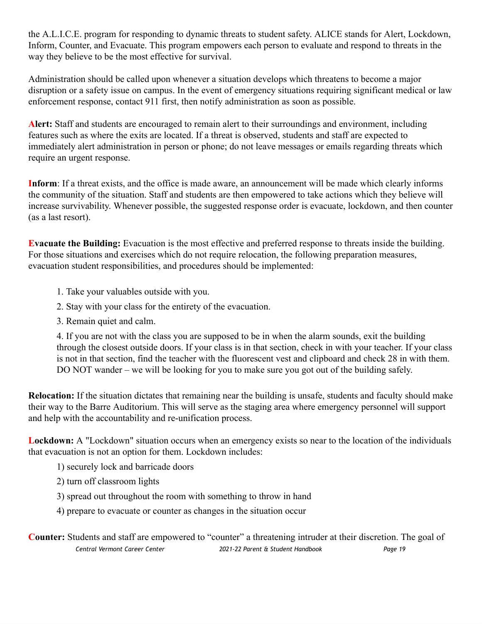the A.L.I.C.E. program for responding to dynamic threats to student safety. ALICE stands for Alert, Lockdown, Inform, Counter, and Evacuate. This program empowers each person to evaluate and respond to threats in the way they believe to be the most effective for survival.

Administration should be called upon whenever a situation develops which threatens to become a major disruption or a safety issue on campus. In the event of emergency situations requiring significant medical or law enforcement response, contact 911 first, then notify administration as soon as possible.

**Alert:** Staff and students are encouraged to remain alert to their surroundings and environment, including features such as where the exits are located. If a threat is observed, students and staff are expected to immediately alert administration in person or phone; do not leave messages or emails regarding threats which require an urgent response.

**Inform**: If a threat exists, and the office is made aware, an announcement will be made which clearly informs the community of the situation. Staff and students are then empowered to take actions which they believe will increase survivability. Whenever possible, the suggested response order is evacuate, lockdown, and then counter (as a last resort).

**Evacuate the Building:** Evacuation is the most effective and preferred response to threats inside the building. For those situations and exercises which do not require relocation, the following preparation measures, evacuation student responsibilities, and procedures should be implemented:

- 1. Take your valuables outside with you.
- 2. Stay with your class for the entirety of the evacuation.
- 3. Remain quiet and calm.

4. If you are not with the class you are supposed to be in when the alarm sounds, exit the building through the closest outside doors. If your class is in that section, check in with your teacher. If your class is not in that section, find the teacher with the fluorescent vest and clipboard and check 28 in with them. DO NOT wander – we will be looking for you to make sure you got out of the building safely.

**Relocation:** If the situation dictates that remaining near the building is unsafe, students and faculty should make their way to the Barre Auditorium. This will serve as the staging area where emergency personnel will support and help with the accountability and re-unification process.

**Lockdown:** A "Lockdown" situation occurs when an emergency exists so near to the location of the individuals that evacuation is not an option for them. Lockdown includes:

1) securely lock and barricade doors

2) turn off classroom lights

3) spread out throughout the room with something to throw in hand

4) prepare to evacuate or counter as changes in the situation occur

**Counter:** Students and staff are empowered to "counter" a threatening intruder at their discretion. The goal of *Central Vermont Career Center 2021-22 Parent & Student Handbook Page 19*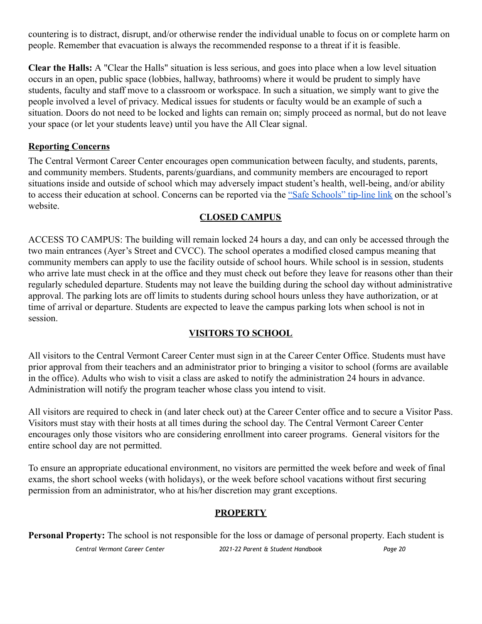countering is to distract, disrupt, and/or otherwise render the individual unable to focus on or complete harm on people. Remember that evacuation is always the recommended response to a threat if it is feasible.

**Clear the Halls:** A "Clear the Halls" situation is less serious, and goes into place when a low level situation occurs in an open, public space (lobbies, hallway, bathrooms) where it would be prudent to simply have students, faculty and staff move to a classroom or workspace. In such a situation, we simply want to give the people involved a level of privacy. Medical issues for students or faculty would be an example of such a situation. Doors do not need to be locked and lights can remain on; simply proceed as normal, but do not leave your space (or let your students leave) until you have the All Clear signal.

#### **Reporting Concerns**

The Central Vermont Career Center encourages open communication between faculty, and students, parents, and community members. Students, parents/guardians, and community members are encouraged to report situations inside and outside of school which may adversely impact student's health, well-being, and/or ability to access their education at school. Concerns can be reported via the "Safe [Schools"](https://shsu61-vt.safeschoolsalert.com/) tip-line link on the school's website.

#### **CLOSED CAMPUS**

ACCESS TO CAMPUS: The building will remain locked 24 hours a day, and can only be accessed through the two main entrances (Ayer's Street and CVCC). The school operates a modified closed campus meaning that community members can apply to use the facility outside of school hours. While school is in session, students who arrive late must check in at the office and they must check out before they leave for reasons other than their regularly scheduled departure. Students may not leave the building during the school day without administrative approval. The parking lots are off limits to students during school hours unless they have authorization, or at time of arrival or departure. Students are expected to leave the campus parking lots when school is not in session.

#### **VISITORS TO SCHOOL**

All visitors to the Central Vermont Career Center must sign in at the Career Center Office. Students must have prior approval from their teachers and an administrator prior to bringing a visitor to school (forms are available in the office). Adults who wish to visit a class are asked to notify the administration 24 hours in advance. Administration will notify the program teacher whose class you intend to visit.

All visitors are required to check in (and later check out) at the Career Center office and to secure a Visitor Pass. Visitors must stay with their hosts at all times during the school day. The Central Vermont Career Center encourages only those visitors who are considering enrollment into career programs. General visitors for the entire school day are not permitted.

To ensure an appropriate educational environment, no visitors are permitted the week before and week of final exams, the short school weeks (with holidays), or the week before school vacations without first securing permission from an administrator, who at his/her discretion may grant exceptions.

#### **PROPERTY**

**Personal Property:** The school is not responsible for the loss or damage of personal property. Each student is *Central Vermont Career Center 2021-22 Parent & Student Handbook Page 20*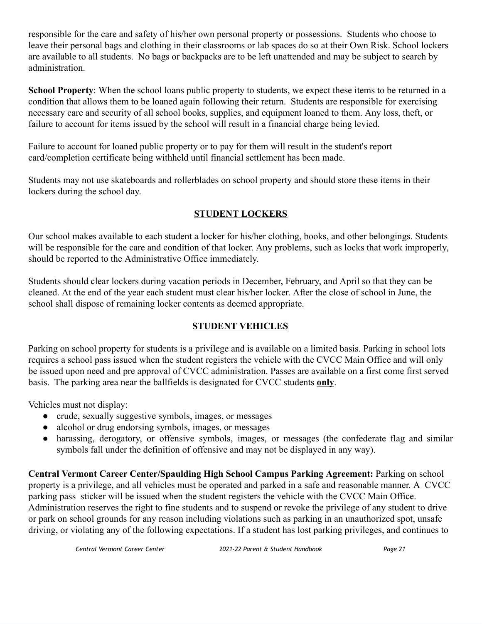responsible for the care and safety of his/her own personal property or possessions. Students who choose to leave their personal bags and clothing in their classrooms or lab spaces do so at their Own Risk. School lockers are available to all students. No bags or backpacks are to be left unattended and may be subject to search by administration.

**School Property**: When the school loans public property to students, we expect these items to be returned in a condition that allows them to be loaned again following their return. Students are responsible for exercising necessary care and security of all school books, supplies, and equipment loaned to them. Any loss, theft, or failure to account for items issued by the school will result in a financial charge being levied.

Failure to account for loaned public property or to pay for them will result in the student's report card/completion certificate being withheld until financial settlement has been made.

Students may not use skateboards and rollerblades on school property and should store these items in their lockers during the school day.

#### **STUDENT LOCKERS**

Our school makes available to each student a locker for his/her clothing, books, and other belongings. Students will be responsible for the care and condition of that locker. Any problems, such as locks that work improperly, should be reported to the Administrative Office immediately.

Students should clear lockers during vacation periods in December, February, and April so that they can be cleaned. At the end of the year each student must clear his/her locker. After the close of school in June, the school shall dispose of remaining locker contents as deemed appropriate.

#### **STUDENT VEHICLES**

Parking on school property for students is a privilege and is available on a limited basis. Parking in school lots requires a school pass issued when the student registers the vehicle with the CVCC Main Office and will only be issued upon need and pre approval of CVCC administration. Passes are available on a first come first served basis. The parking area near the ballfields is designated for CVCC students **only**.

Vehicles must not display:

- crude, sexually suggestive symbols, images, or messages
- alcohol or drug endorsing symbols, images, or messages
- harassing, derogatory, or offensive symbols, images, or messages (the confederate flag and similar symbols fall under the definition of offensive and may not be displayed in any way).

**Central Vermont Career Center/Spaulding High School Campus Parking Agreement:** Parking on school property is a privilege, and all vehicles must be operated and parked in a safe and reasonable manner. A CVCC parking pass sticker will be issued when the student registers the vehicle with the CVCC Main Office. Administration reserves the right to fine students and to suspend or revoke the privilege of any student to drive or park on school grounds for any reason including violations such as parking in an unauthorized spot, unsafe driving, or violating any of the following expectations. If a student has lost parking privileges, and continues to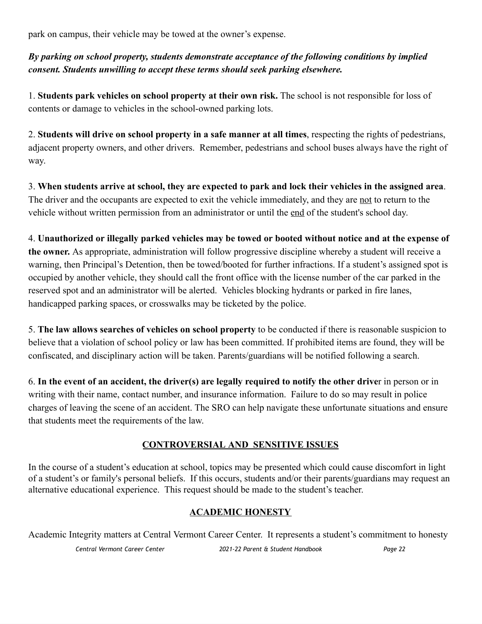park on campus, their vehicle may be towed at the owner's expense.

*By parking on school property, students demonstrate acceptance of the following conditions by implied consent. Students unwilling to accept these terms should seek parking elsewhere.*

1. **Students park vehicles on school property at their own risk.** The school is not responsible for loss of contents or damage to vehicles in the school-owned parking lots.

2. **Students will drive on school property in a safe manner at all times**, respecting the rights of pedestrians, adjacent property owners, and other drivers. Remember, pedestrians and school buses always have the right of way.

3. When students arrive at school, they are expected to park and lock their vehicles in the assigned area. The driver and the occupants are expected to exit the vehicle immediately, and they are not to return to the vehicle without written permission from an administrator or until the end of the student's school day.

4. **Unauthorized or illegally parked vehicles may be towed or booted without notice and at the expense of the owner.** As appropriate, administration will follow progressive discipline whereby a student will receive a warning, then Principal's Detention, then be towed/booted for further infractions. If a student's assigned spot is occupied by another vehicle, they should call the front office with the license number of the car parked in the reserved spot and an administrator will be alerted. Vehicles blocking hydrants or parked in fire lanes, handicapped parking spaces, or crosswalks may be ticketed by the police.

5. **The law allows searches of vehicles on school property** to be conducted if there is reasonable suspicion to believe that a violation of school policy or law has been committed. If prohibited items are found, they will be confiscated, and disciplinary action will be taken. Parents/guardians will be notified following a search.

6. **In the event of an accident, the driver(s) are legally required to notify the other drive**r in person or in writing with their name, contact number, and insurance information. Failure to do so may result in police charges of leaving the scene of an accident. The SRO can help navigate these unfortunate situations and ensure that students meet the requirements of the law.

#### **CONTROVERSIAL AND SENSITIVE ISSUES**

In the course of a student's education at school, topics may be presented which could cause discomfort in light of a student's or family's personal beliefs. If this occurs, students and/or their parents/guardians may request an alternative educational experience. This request should be made to the student's teacher.

#### **ACADEMIC HONESTY**

Academic Integrity matters at Central Vermont Career Center. It represents a student's commitment to honesty *Central Vermont Career Center 2021-22 Parent & Student Handbook Page 22*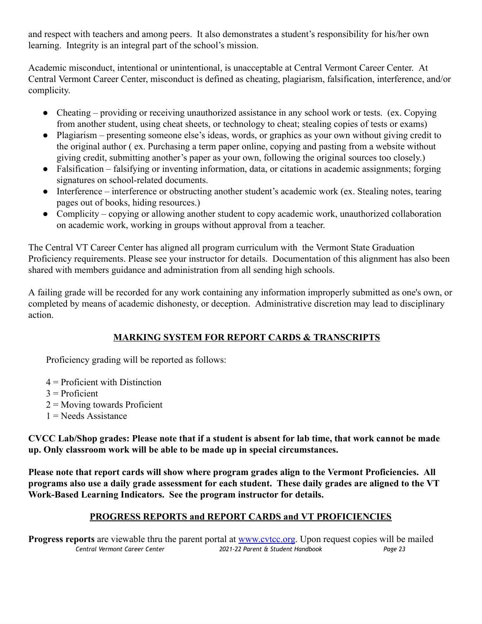and respect with teachers and among peers. It also demonstrates a student's responsibility for his/her own learning. Integrity is an integral part of the school's mission.

Academic misconduct, intentional or unintentional, is unacceptable at Central Vermont Career Center. At Central Vermont Career Center, misconduct is defined as cheating, plagiarism, falsification, interference, and/or complicity.

- Cheating providing or receiving unauthorized assistance in any school work or tests. (ex. Copying from another student, using cheat sheets, or technology to cheat; stealing copies of tests or exams)
- Plagiarism presenting someone else's ideas, words, or graphics as your own without giving credit to the original author ( ex. Purchasing a term paper online, copying and pasting from a website without giving credit, submitting another's paper as your own, following the original sources too closely.)
- Falsification falsifying or inventing information, data, or citations in academic assignments; forging signatures on school-related documents.
- Interference interference or obstructing another student's academic work (ex. Stealing notes, tearing pages out of books, hiding resources.)
- Complicity copying or allowing another student to copy academic work, unauthorized collaboration on academic work, working in groups without approval from a teacher.

The Central VT Career Center has aligned all program curriculum with the Vermont State Graduation Proficiency requirements. Please see your instructor for details. Documentation of this alignment has also been shared with members guidance and administration from all sending high schools.

A failing grade will be recorded for any work containing any information improperly submitted as one's own, or completed by means of academic dishonesty, or deception. Administrative discretion may lead to disciplinary action.

#### **MARKING SYSTEM FOR REPORT CARDS & TRANSCRIPTS**

Proficiency grading will be reported as follows:

- 4 = Proficient with Distinction
- $3$  = Proficient
- 2 = Moving towards Proficient
- $1 =$ Needs Assistance

CVCC Lab/Shop grades: Please note that if a student is absent for lab time, that work cannot be made **up. Only classroom work will be able to be made up in special circumstances.**

**Please note that report cards will show where program grades align to the Vermont Proficiencies. All programs also use a daily grade assessment for each student. These daily grades are aligned to the VT Work-Based Learning Indicators. See the program instructor for details.**

#### **PROGRESS REPORTS and REPORT CARDS and VT PROFICIENCIES**

**Progress reports** are viewable thru the parent portal at [www.cvtcc.org](http://www.cvtcc.org/). Upon request copies will be mailed *Central Vermont Career Center 2021-22 Parent & Student Handbook Page 23*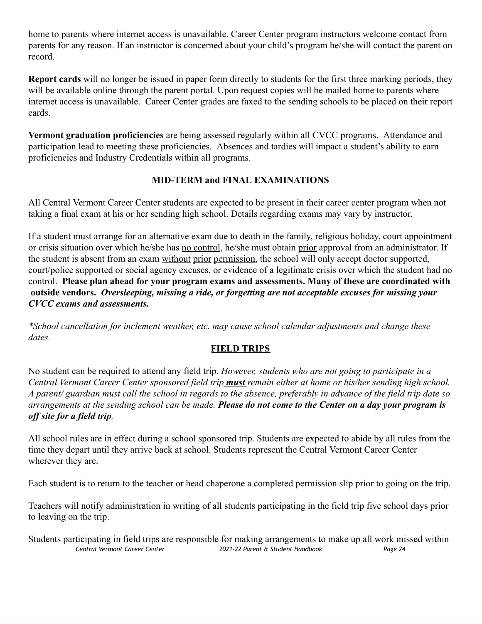home to parents where internet access is unavailable. Career Center program instructors welcome contact from parents for any reason. If an instructor is concerned about your child's program he/she will contact the parent on record.

**Report cards** will no longer be issued in paper form directly to students for the first three marking periods, they will be available online through the parent portal. Upon request copies will be mailed home to parents where internet access is unavailable. Career Center grades are faxed to the sending schools to be placed on their report cards.

**Vermont graduation proficiencies** are being assessed regularly within all CVCC programs. Attendance and participation lead to meeting these proficiencies. Absences and tardies will impact a student's ability to earn proficiencies and Industry Credentials within all programs.

#### **MID-TERM and FINAL EXAMINATIONS**

All Central Vermont Career Center students are expected to be present in their career center program when not taking a final exam at his or her sending high school. Details regarding exams may vary by instructor.

If a student must arrange for an alternative exam due to death in the family, religious holiday, court appointment or crisis situation over which he/she has no control, he/she must obtain prior approval from an administrator. If the student is absent from an exam without prior permission, the school will only accept doctor supported, court/police supported or social agency excuses, or evidence of a legitimate crisis over which the student had no control. **Please plan ahead for your program exams and assessments. Many of these are coordinated with outside vendors.** *Oversleeping, missing a ride, or forgetting are not acceptable excuses for missing your CVCC exams and assessments.*

*\*School cancellation for inclement weather, etc. may cause school calendar adjustments and change these dates.*

#### **FIELD TRIPS**

No student can be required to attend any field trip. *However, students who are not going to participate in a* Central Vermont Career Center sponsored field trip **must** remain either at home or his/her sending high school. A parent/ guardian must call the school in regards to the absence, preferably in advance of the field trip date so arrangements at the sending school can be made. Please do not come to the Center on a day your program is *off site for a field trip.*

All school rules are in effect during a school sponsored trip. Students are expected to abide by all rules from the time they depart until they arrive back at school. Students represent the Central Vermont Career Center wherever they are.

Each student is to return to the teacher or head chaperone a completed permission slip prior to going on the trip.

Teachers will notify administration in writing of all students participating in the field trip five school days prior to leaving on the trip.

Students participating in field trips are responsible for making arrangements to make up all work missed within *Central Vermont Career Center 2021-22 Parent & Student Handbook Page 24*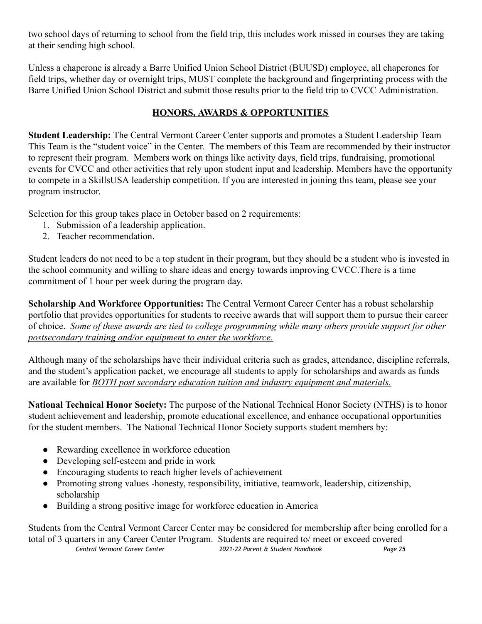two school days of returning to school from the field trip, this includes work missed in courses they are taking at their sending high school.

Unless a chaperone is already a Barre Unified Union School District (BUUSD) employee, all chaperones for field trips, whether day or overnight trips, MUST complete the background and fingerprinting process with the Barre Unified Union School District and submit those results prior to the field trip to CVCC Administration.

#### **HONORS, AWARDS & OPPORTUNITIES**

**Student Leadership:** The Central Vermont Career Center supports and promotes a Student Leadership Team This Team is the "student voice" in the Center. The members of this Team are recommended by their instructor to represent their program. Members work on things like activity days, field trips, fundraising, promotional events for CVCC and other activities that rely upon student input and leadership. Members have the opportunity to compete in a SkillsUSA leadership competition. If you are interested in joining this team, please see your program instructor.

Selection for this group takes place in October based on 2 requirements:

- 1. Submission of a leadership application.
- 2. Teacher recommendation.

Student leaders do not need to be a top student in their program, but they should be a student who is invested in the school community and willing to share ideas and energy towards improving CVCC.There is a time commitment of 1 hour per week during the program day.

**Scholarship And Workforce Opportunities:** The Central Vermont Career Center has a robust scholarship portfolio that provides opportunities for students to receive awards that will support them to pursue their career of choice. *Some of these awards are tied to college programming while many others provide support for other postsecondary training and/or equipment to enter the workforce.*

Although many of the scholarships have their individual criteria such as grades, attendance, discipline referrals, and the student's application packet, we encourage all students to apply for scholarships and awards as funds are available for *BOTH post secondary education tuition and industry equipment and materials.*

**National Technical Honor Society:** The purpose of the National Technical Honor Society (NTHS) is to honor student achievement and leadership, promote educational excellence, and enhance occupational opportunities for the student members. The National Technical Honor Society supports student members by:

- Rewarding excellence in workforce education
- Developing self-esteem and pride in work
- Encouraging students to reach higher levels of achievement
- Promoting strong values -honesty, responsibility, initiative, teamwork, leadership, citizenship, scholarship
- Building a strong positive image for workforce education in America

Students from the Central Vermont Career Center may be considered for membership after being enrolled for a total of 3 quarters in any Career Center Program. Students are required to/ meet or exceed covered *Central Vermont Career Center 2021-22 Parent & Student Handbook Page 25*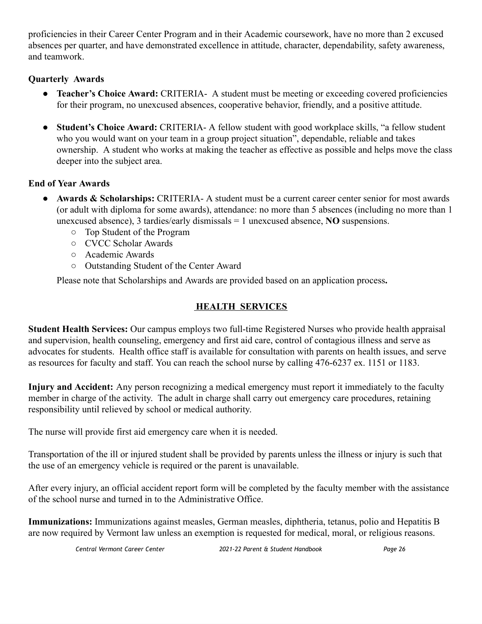proficiencies in their Career Center Program and in their Academic coursework, have no more than 2 excused absences per quarter, and have demonstrated excellence in attitude, character, dependability, safety awareness, and teamwork.

#### **Quarterly Awards**

- **Teacher's Choice Award:** CRITERIA- A student must be meeting or exceeding covered proficiencies for their program, no unexcused absences, cooperative behavior, friendly, and a positive attitude.
- **● Student's Choice Award:** CRITERIA- A fellow student with good workplace skills, "a fellow student who you would want on your team in a group project situation", dependable, reliable and takes ownership. A student who works at making the teacher as effective as possible and helps move the class deeper into the subject area.

#### **End of Year Awards**

- **Awards & Scholarships:** CRITERIA- A student must be a current career center senior for most awards (or adult with diploma for some awards), attendance: no more than 5 absences (including no more than 1 unexcused absence), 3 tardies/early dismissals = 1 unexcused absence, **NO** suspensions.
	- Top Student of the Program
	- CVCC Scholar Awards
	- Academic Awards
	- Outstanding Student of the Center Award

Please note that Scholarships and Awards are provided based on an application process**.**

#### **HEALTH SERVICES**

**Student Health Services:** Our campus employs two full-time Registered Nurses who provide health appraisal and supervision, health counseling, emergency and first aid care, control of contagious illness and serve as advocates for students. Health office staff is available for consultation with parents on health issues, and serve as resources for faculty and staff. You can reach the school nurse by calling 476-6237 ex. 1151 or 1183.

**Injury and Accident:** Any person recognizing a medical emergency must report it immediately to the faculty member in charge of the activity. The adult in charge shall carry out emergency care procedures, retaining responsibility until relieved by school or medical authority.

The nurse will provide first aid emergency care when it is needed.

Transportation of the ill or injured student shall be provided by parents unless the illness or injury is such that the use of an emergency vehicle is required or the parent is unavailable.

After every injury, an official accident report form will be completed by the faculty member with the assistance of the school nurse and turned in to the Administrative Office.

**Immunizations:** Immunizations against measles, German measles, diphtheria, tetanus, polio and Hepatitis B are now required by Vermont law unless an exemption is requested for medical, moral, or religious reasons.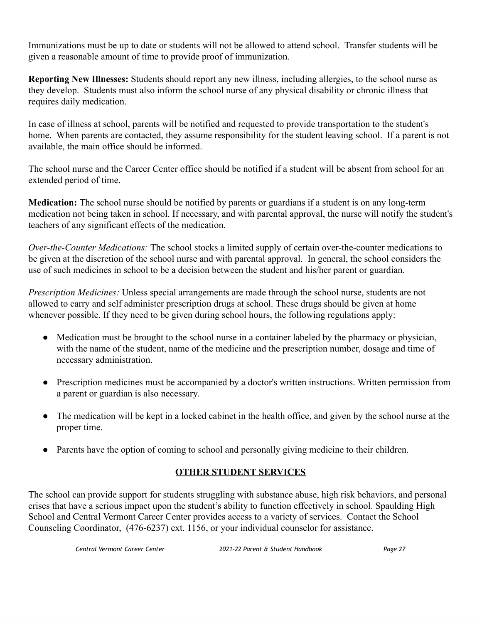Immunizations must be up to date or students will not be allowed to attend school. Transfer students will be given a reasonable amount of time to provide proof of immunization.

**Reporting New Illnesses:** Students should report any new illness, including allergies, to the school nurse as they develop. Students must also inform the school nurse of any physical disability or chronic illness that requires daily medication.

In case of illness at school, parents will be notified and requested to provide transportation to the student's home. When parents are contacted, they assume responsibility for the student leaving school. If a parent is not available, the main office should be informed.

The school nurse and the Career Center office should be notified if a student will be absent from school for an extended period of time.

**Medication:** The school nurse should be notified by parents or guardians if a student is on any long-term medication not being taken in school. If necessary, and with parental approval, the nurse will notify the student's teachers of any significant effects of the medication.

*Over-the-Counter Medications:* The school stocks a limited supply of certain over-the-counter medications to be given at the discretion of the school nurse and with parental approval. In general, the school considers the use of such medicines in school to be a decision between the student and his/her parent or guardian.

*Prescription Medicines:* Unless special arrangements are made through the school nurse, students are not allowed to carry and self administer prescription drugs at school. These drugs should be given at home whenever possible. If they need to be given during school hours, the following regulations apply:

- Medication must be brought to the school nurse in a container labeled by the pharmacy or physician, with the name of the student, name of the medicine and the prescription number, dosage and time of necessary administration.
- Prescription medicines must be accompanied by a doctor's written instructions. Written permission from a parent or guardian is also necessary.
- The medication will be kept in a locked cabinet in the health office, and given by the school nurse at the proper time.
- Parents have the option of coming to school and personally giving medicine to their children.

### **OTHER STUDENT SERVICES**

The school can provide support for students struggling with substance abuse, high risk behaviors, and personal crises that have a serious impact upon the student's ability to function effectively in school. Spaulding High School and Central Vermont Career Center provides access to a variety of services. Contact the School Counseling Coordinator, (476-6237) ext. 1156, or your individual counselor for assistance.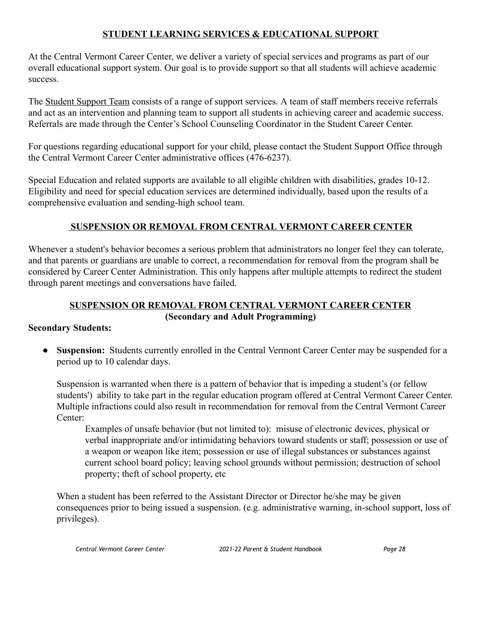#### **STUDENT LEARNING SERVICES & EDUCATIONAL SUPPORT**

At the Central Vermont Career Center, we deliver a variety of special services and programs as part of our overall educational support system. Our goal is to provide support so that all students will achieve academic success.

The Student Support Team consists of a range of support services. A team of staff members receive referrals and act as an intervention and planning team to support all students in achieving career and academic success. Referrals are made through the Center's School Counseling Coordinator in the Student Career Center.

For questions regarding educational support for your child, please contact the Student Support Office through the Central Vermont Career Center administrative offices (476-6237).

Special Education and related supports are available to all eligible children with disabilities, grades 10-12. Eligibility and need for special education services are determined individually, based upon the results of a comprehensive evaluation and sending-high school team.

#### **SUSPENSION OR REMOVAL FROM CENTRAL VERMONT CAREER CENTER**

Whenever a student's behavior becomes a serious problem that administrators no longer feel they can tolerate, and that parents or guardians are unable to correct, a recommendation for removal from the program shall be considered by Career Center Administration. This only happens after multiple attempts to redirect the student through parent meetings and conversations have failed.

#### **SUSPENSION OR REMOVAL FROM CENTRAL VERMONT CAREER CENTER (Secondary and Adult Programming)**

#### **Secondary Students:**

● **Suspension:** Students currently enrolled in the Central Vermont Career Center may be suspended for a period up to 10 calendar days.

Suspension is warranted when there is a pattern of behavior that is impeding a student's (or fellow students') ability to take part in the regular education program offered at Central Vermont Career Center. Multiple infractions could also result in recommendation for removal from the Central Vermont Career Center:

Examples of unsafe behavior (but not limited to): misuse of electronic devices, physical or verbal inappropriate and/or intimidating behaviors toward students or staff; possession or use of a weapon or weapon like item; possession or use of illegal substances or substances against current school board policy; leaving school grounds without permission; destruction of school property; theft of school property, etc

When a student has been referred to the Assistant Director or Director he/she may be given consequences prior to being issued a suspension. (e.g. administrative warning, in-school support, loss of privileges).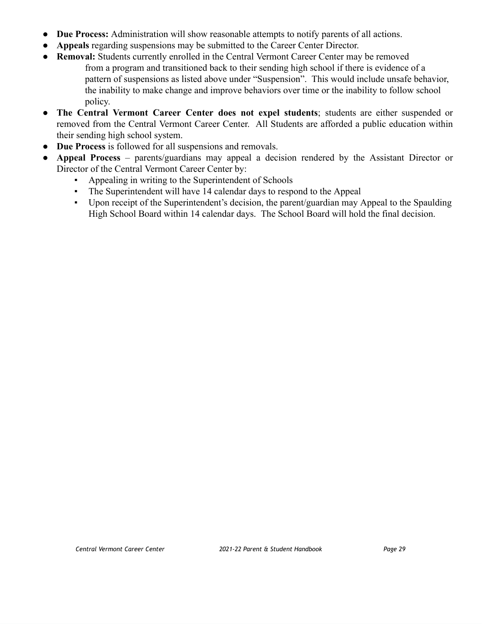- **Due Process:** Administration will show reasonable attempts to notify parents of all actions.
- Appeals regarding suspensions may be submitted to the Career Center Director.
- **Removal:** Students currently enrolled in the Central Vermont Career Center may be removed from a program and transitioned back to their sending high school if there is evidence of a pattern of suspensions as listed above under "Suspension". This would include unsafe behavior, the inability to make change and improve behaviors over time or the inability to follow school policy.
- **The Central Vermont Career Center does not expel students**; students are either suspended or removed from the Central Vermont Career Center. All Students are afforded a public education within their sending high school system.
- **Due Process** is followed for all suspensions and removals.
- **Appeal Process** parents/guardians may appeal a decision rendered by the Assistant Director or Director of the Central Vermont Career Center by:
	- Appealing in writing to the Superintendent of Schools
	- The Superintendent will have 14 calendar days to respond to the Appeal
	- Upon receipt of the Superintendent's decision, the parent/guardian may Appeal to the Spaulding High School Board within 14 calendar days. The School Board will hold the final decision.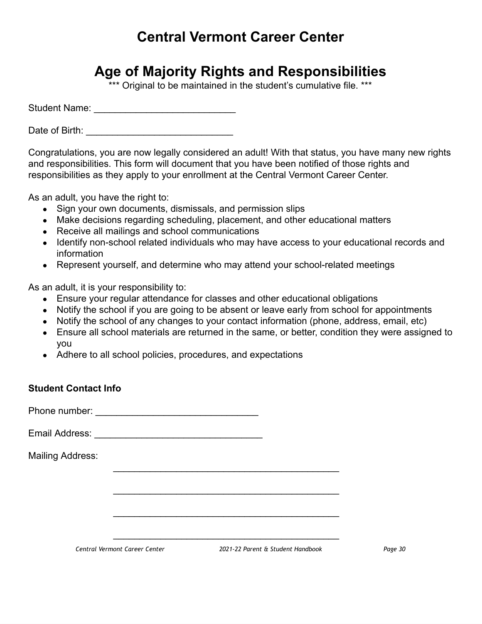## **Central Vermont Career Center**

## **Age of Majority Rights and Responsibilities**

\*\*\* Original to be maintained in the student's cumulative file. \*\*\*

Student Name: \_\_\_\_\_\_\_\_\_\_\_\_\_\_\_\_\_\_\_\_\_\_\_\_\_\_\_

Date of Birth: \_\_\_\_\_\_\_\_\_\_\_\_\_\_\_\_\_\_\_\_\_\_\_\_\_\_\_\_

Congratulations, you are now legally considered an adult! With that status, you have many new rights and responsibilities. This form will document that you have been notified of those rights and responsibilities as they apply to your enrollment at the Central Vermont Career Center.

As an adult, you have the right to:

- Sign your own documents, dismissals, and permission slips
- Make decisions regarding scheduling, placement, and other educational matters
- Receive all mailings and school communications
- Identify non-school related individuals who may have access to your educational records and information
- Represent yourself, and determine who may attend your school-related meetings

As an adult, it is your responsibility to:

- Ensure your regular attendance for classes and other educational obligations
- Notify the school if you are going to be absent or leave early from school for appointments
- Notify the school of any changes to your contact information (phone, address, email, etc)

 $\overline{\phantom{a}}$  , and the set of the set of the set of the set of the set of the set of the set of the set of the set of the set of the set of the set of the set of the set of the set of the set of the set of the set of the s

 $\overline{\phantom{a}}$  , and the set of the set of the set of the set of the set of the set of the set of the set of the set of the set of the set of the set of the set of the set of the set of the set of the set of the set of the s

 $\overline{\phantom{a}}$  , and the set of the set of the set of the set of the set of the set of the set of the set of the set of the set of the set of the set of the set of the set of the set of the set of the set of the set of the s

 $\overline{\phantom{a}}$  , and the set of the set of the set of the set of the set of the set of the set of the set of the set of the set of the set of the set of the set of the set of the set of the set of the set of the set of the s

- Ensure all school materials are returned in the same, or better, condition they were assigned to you
- Adhere to all school policies, procedures, and expectations

#### **Student Contact Info**

Phone number: \_\_\_\_\_\_\_\_\_\_\_\_\_\_\_\_\_\_\_\_\_\_\_\_\_\_\_\_\_\_\_

Email Address: \_\_\_\_\_\_\_\_\_\_\_\_\_\_\_\_\_\_\_\_\_\_\_\_\_\_\_\_\_\_\_\_

Mailing Address: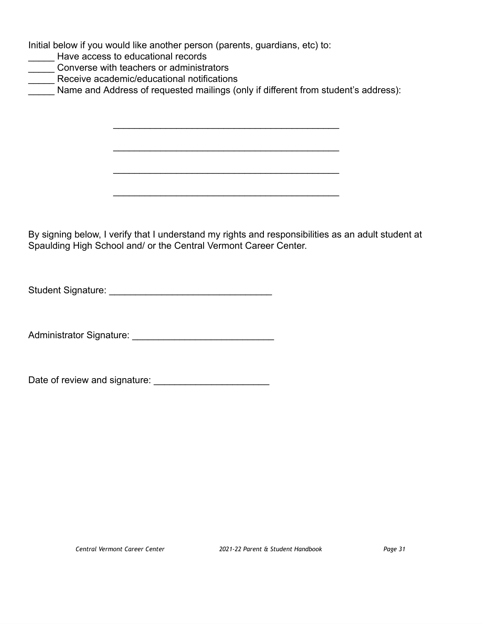Initial below if you would like another person (parents, guardians, etc) to:

- **LETTER** Have access to educational records
- **LETT** Converse with teachers or administrators
- **\_\_\_\_\_\_** Receive academic/educational notifications

Name and Address of requested mailings (only if different from student's address):

 $\overline{\phantom{a}}$  , and the set of the set of the set of the set of the set of the set of the set of the set of the set of the set of the set of the set of the set of the set of the set of the set of the set of the set of the s

 $\overline{\phantom{a}}$  , and the set of the set of the set of the set of the set of the set of the set of the set of the set of the set of the set of the set of the set of the set of the set of the set of the set of the set of the s

 $\overline{\phantom{a}}$  , and the set of the set of the set of the set of the set of the set of the set of the set of the set of the set of the set of the set of the set of the set of the set of the set of the set of the set of the s

 $\overline{\phantom{a}}$  , and the set of the set of the set of the set of the set of the set of the set of the set of the set of the set of the set of the set of the set of the set of the set of the set of the set of the set of the s

By signing below, I verify that I understand my rights and responsibilities as an adult student at Spaulding High School and/ or the Central Vermont Career Center.

Student Signature: \_\_\_\_\_\_\_\_\_\_\_\_\_\_\_\_\_\_\_\_\_\_\_\_\_\_\_\_\_\_\_

Administrator Signature: \_\_\_\_\_\_\_\_\_\_\_\_\_\_\_\_\_\_\_\_\_\_\_\_\_\_\_

Date of review and signature: \_\_\_\_\_\_\_\_\_\_\_\_\_\_\_\_\_\_\_\_\_\_